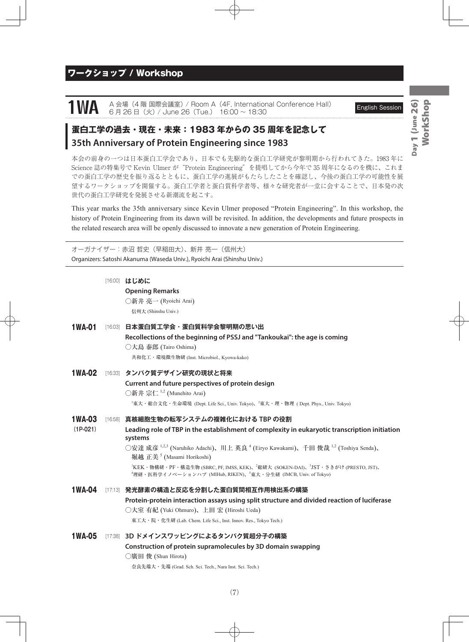### ワークショップ / Workshop

# 1WA A 会場 (4 階 国際会議室) / Room A (4F, International Conference Hall) English Session<br>6 月 26 日 (火) / June 26 (Tue.) 16:00 ~ 18:30

## **蛋白工学の過去・現在・未来:1983 年からの 35 周年を記念して 35th Anniversary of Protein Engineering since 1983**

本会の前身の一つは日本蛋白工学会であり、日本でも先駆的な蛋白工学研究が黎明期から行われてきた。1983 年に Science 誌の特集号で Kevin Ulmer が"Protein Engineering"を提唱してから今年で 35 周年になるのを機に、これま での蛋白工学の歴史を振り返るとともに、蛋白工学の進展がもたらしたことを確認し、今後の蛋白工学の可能性を展 望するワークショップを開催する。蛋白工学者と蛋白質科学者等、様々な研究者が一堂に会することで、日本発の次 世代の蛋白工学研究を発展させる新潮流を起こす。

This year marks the 35th anniversary since Kevin Ulmer proposed "Protein Engineering". In this workshop, the history of Protein Engineering from its dawn will be revisited. In addition, the developments and future prospects in the related research area will be openly discussed to innovate a new generation of Protein Engineering.

オーガナイザー:赤沼 哲史(早稲田大)、新井 亮一(信州大) Organizers: Satoshi Akanuma (Waseda Univ.), Ryoichi Arai (Shinshu Univ.)

|               | [16:00] はじめに                                                                                                           |
|---------------|------------------------------------------------------------------------------------------------------------------------|
|               | <b>Opening Remarks</b>                                                                                                 |
|               | ○新井 亮一 (Ryoichi Arai)                                                                                                  |
|               | 信州大 (Shinshu Univ.)                                                                                                    |
| <b>1WA-01</b> | [16:03] 日本蛋白質工学会・蛋白質科学会黎明期の思い出                                                                                         |
|               | Recollections of the beginning of PSSJ and "Tankoukai": the age is coming                                              |
|               | ○大島 泰郎 (Tairo Oshima)                                                                                                  |
|               | 共和化工・環境微生物研 (Inst. Microbiol., Kyowa-kako)                                                                             |
| <b>1WA-02</b> | [16:33] タンパク質デザイン研究の現状と将来                                                                                              |
|               | Current and future perspectives of protein design                                                                      |
|               | ○新井宗仁 <sup>1,2</sup> (Munehito Arai)                                                                                   |
|               | <sup>1</sup> 東大・総合文化・生命環境 (Dept. Life Sci., Univ. Tokyo)、 <sup>2</sup> 東大・理・物理 ( Dept. Phys., Univ. Tokyo)             |
| <b>1WA-03</b> | [16:58] 真核細胞生物の転写システムの複雑化における TBP の役割                                                                                  |
| $(1P-021)$    | Leading role of TBP in the establishment of complexity in eukaryotic transcription initiation<br>systems               |
|               | ○安達 成彦 <sup>1,2,3</sup> (Naruhiko Adachi)、川上 英良 <sup>4</sup> (Eiryo Kawakami)、千田 俊哉 <sup>1,2</sup> (Toshiya Senda)、    |
|               | 堀越 正美 <sup>5</sup> (Masami Horikoshi)                                                                                  |
|               | <sup>1</sup> KEK・物構研・PF・構造生物 (SBRC, PF, IMSS, KEK)、 <sup>2</sup> 総研大 (SOKEN-DAI)、 <sup>3</sup> JST・さきがけ (PRESTO, JST)、 |
|               | <sup>4</sup> 理研・医科学イノベーションハブ (MIHub, RIKEN)、 <sup>5</sup> 東大・分生研 (IMCB, Univ. of Tokyo)                                |
| <b>1WA-04</b> | [17:13] 発光酵素の構造と反応を分割した蛋白質間相互作用検出系の構築                                                                                  |
|               | Protein-protein interaction assays using split structure and divided reaction of luciferase                            |
|               | ○大室 有紀 (Yuki Ohmuro)、上田 宏 (Hiroshi Ueda)                                                                               |
|               | 東工大・院・化生研 (Lab. Chem. Life Sci., Inst. Innov. Res., Tokyo Tech.)                                                       |
| <b>1WA-05</b> | [17:38] 3D ドメインスワッピングによるタンパク質超分子の構築                                                                                    |
|               | Construction of protein supramolecules by 3D domain swapping                                                           |
|               | ○廣田 俊 (Shun Hirota)                                                                                                    |
|               | 奈良先端大・先端 (Grad. Sch. Sci. Tech., Nara Inst. Sci. Tech.)                                                                |
|               |                                                                                                                        |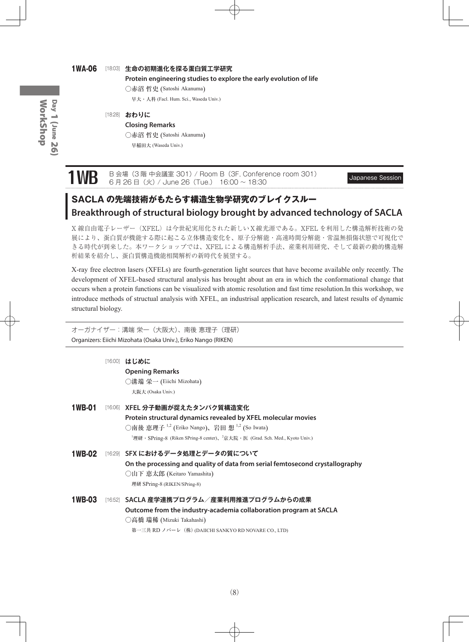#### 1WA-06 [18:03] **生命の初期進化を探る蛋白質工学研究**

**Protein engineering studies to explore the early evolution of life**

○赤沼 哲史 (Satoshi Akanuma)

早大・人科 (Facl. Hum. Sci., Waseda Univ.)

#### [18:28] **おわりに**

**Closing Remarks** ○赤沼 哲史 (Satoshi Akanuma) 早稲田大 (Waseda Univ.)

1WB B 会場 (3 階 中会議室 301) / Room B (3F, Conference room 301) Japanese Session 6 月 26 日(火) / June 26 (Tue.) 16:00 ~ 18:30

# **SACLA の先端技術がもたらす構造生物学研究のブレイクスルー Breakthrough of structural biology brought by advanced technology of SACLA**

X 線自由電子レーザー(XFEL)は今世紀実用化された新しいX線光源である。XFEL を利用した構造解析技術の発 展により、蛋白質が機能する際に起こる立体構造変化を、原子分解能・高速時間分解能・常温無損傷状態で可視化で きる時代が到来した。本ワークショップでは、XFEL による構造解析手法、産業利用研究、そして最新の動的構造解 析結果を紹介し、蛋白質構造機能相関解析の新時代を展望する。

X-ray free electron lasers (XFELs) are fourth-generation light sources that have become available only recently. The development of XFEL-based structural analysis has brought about an era in which the conformational change that occurs when a protein functions can be visualized with atomic resolution and fast time resolution.In this workshop, we introduce methods of structual analysis with XFEL, an industrisal application research, and latest results of dynamic structural biology.

|  |  | オーガナイザー:溝端 栄一(大阪大)、南後 恵理子(理研)                                  |  |
|--|--|----------------------------------------------------------------|--|
|  |  | Organizers: Eiichi Mizohata (Osaka Univ.), Eriko Nango (RIKEN) |  |

|        | [16:00] はじめに<br><b>Opening Remarks</b><br>◯溝端 栄一 (Eiichi Mizohata)<br>大阪大 (Osaka Univ.)                                                                                                                                                                                           |
|--------|-----------------------------------------------------------------------------------------------------------------------------------------------------------------------------------------------------------------------------------------------------------------------------------|
| 1WB-01 | [16:06] XFEL 分子動画が捉えたタンパク質構造変化<br>Protein structural dynamics revealed by XFEL molecular movies<br>○南後 恵理子 <sup>1,2</sup> (Eriko Nango)、岩田 想 <sup>1,2</sup> (So Iwata)<br><sup>1</sup> 理研 · SPring-8 (Riken SPring-8 center)、 <sup>2</sup> 京大院 · 医 (Grad. Sch. Med., Kyoto Univ.) |
|        | 1WB-02 〔16:29〕 SFX におけるデータ処理とデータの質について<br>On the processing and quality of data from serial femtosecond crystallography<br>○山下 恵太郎 (Keitaro Yamashita)<br>理研 SPring-8 (RIKEN/SPring-8)                                                                                            |
| 1WB-03 | [16:52] SACLA 産学連携プログラム/産業利用推進プログラムからの成果<br>Outcome from the industry-academia collaboration program at SACLA<br>◯高橋 瑞稀 (Mizuki Takahashi)<br>第一三共 RD ノバーレ (株) (DAIICHI SANKYO RD NOVARE CO., LTD)                                                                                |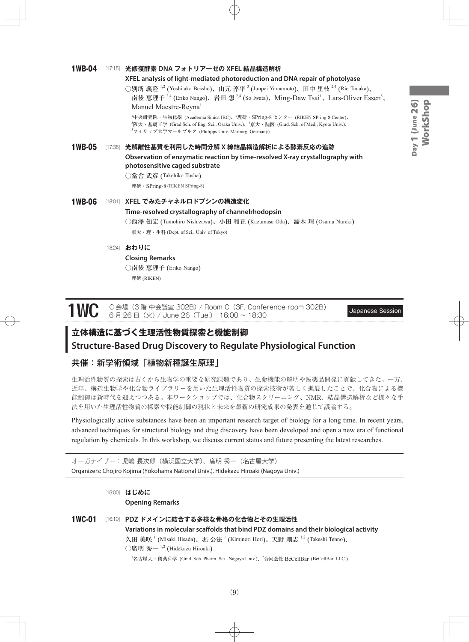# Day 1 (June 26) WorkShop WorkShopDay 1 (June 26)

#### 1WB-04 [17:15] **光修復酵素 DNA フォトリアーゼの XFEL 結晶構造解析**

#### **XFEL analysis of light-mediated photoreduction and DNA repair of photolyase**

○別所 義隆 <sup>1,2</sup> (Yoshitaka Bessho)、山元 淳平 <sup>3</sup> (Junpei Yamamoto)、田中 里枝 <sup>2,4</sup> (Rie Tanaka)、 南後 恵理子<sup>2,4</sup> (Eriko Nango)、岩田 想<sup>2,4</sup> (So Iwata)、Ming-Daw Tsai<sup>1</sup>、Lars-Oliver Essen<sup>5</sup>、 Manuel Maestre-Reyna<sup>1</sup>

<sup>1</sup>中央研究院・生物化學 (Academia Sinica IBC)、<sup>2</sup>理研・SPring-8 センター (RIKEN SPring-8 Center)、 3 阪大・基礎工学 (Grad Sch. of Eng. Sci., Osaka Univ.)、<sup>4</sup> 京大・院医 (Grad. Sch. of Med., Kyoto Univ.)、 5 フィリップ大学マールブルク (Philipps Univ. Marburg, Germany)

# 1WB-05 [17:38] **光解離性基質を利用した時間分解 X 線結晶構造解析による酵素反応の追跡**

**Observation of enzymatic reaction by time-resolved X-ray crystallography with photosensitive caged substrate**

○當舎 武彦 (Takehiko Tosha)

理研・SPring-8 (RIKEN SPring-8)

### 1WB-06 [18:01] **XFEL でみたチャネルロドプシンの構造変化 Time-resolved crystallography of channelrhodopsin** ○西澤 知宏 (Tomohiro Nishizawa)、小田 和正 (Kazumasa Oda)、濡木 理 (Osamu Nureki) 東大・理・生科 (Dept. of Sci., Univ. of Tokyo)

#### [18:24] **おわりに**

#### **Closing Remarks**

○南後 恵理子 (Eriko Nango) 理研 (RIKEN)

1WC C 会場(3 階 中会議室 302B)/ Room C(3F, Conference room 302B) Japanese Session 6 月 26 日(火)/ June 26(Tue.) 16:00 ~ 18:30

## **立体構造に基づく生理活性物質探索と機能制御**

### **Structure-Based Drug Discovery to Regulate Physiological Function**

#### 共催:新学術領域「植物新種誕生原理」

生理活性物質の探索は古くから生物学の重要な研究課題であり、生命機能の解明や医薬品開発に貢献してきた。一方、 近年、構造生物学や化合物ライブラリーを用いた生理活性物質の探索技術が著しく進展したことで、化合物による機 能制御は新時代を迎えつつある。本ワークショップでは、化合物スクリーニング、NMR、結晶構造解析など様々な手 法を用いた生理活性物質の探索や機能制御の現状と未来を最新の研究成果の発表を通じて議論する。

Physiologically active substances have been an important research target of biology for a long time. In recent years, advanced techniques for structural biology and drug discovery have been developed and open a new era of functional regulation by chemicals. In this workshop, we discuss current status and future presenting the latest researches.

オーガナイザー:児嶋 長次郎(横浜国立大学)、廣明 秀一(名古屋大学) Organizers: Chojiro Kojima (Yokohama National Univ.), Hidekazu Hiroaki (Nagoya Univ.)

[16:00] **はじめに Opening Remarks** 1WC-01 [16:10] **PDZ ドメインに結合する多様な骨格の化合物とその生理活性 Variations in molecular scaffolds that bind PDZ domains and their biological activity**

久田 美咲<sup>1</sup> (Misaki Hisada)、堀 公法<sup>1</sup> (Kiminori Hori)、天野 剛志 <sup>1,2</sup> (Takeshi Tenno)、  $\bigcirc$ 廣明 秀一  $1,2$  (Hidekazu Hiroaki)

<sup>1</sup>名古屋大・創薬科学 (Grad. Sch. Pharm. Sci., Nagoya Univ.)、<sup>2</sup>合同会社 BeCellBar (BeCellBar, LLC.)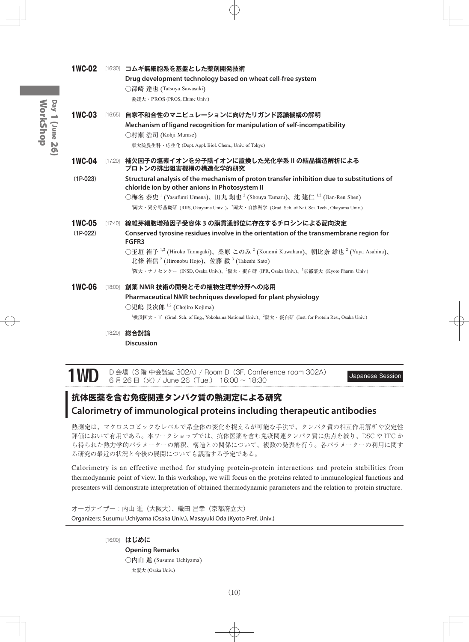| <b>1WC-02</b>               |         | [16:30] コムギ無細胞系を基盤とした薬剤開発技術<br>Drug development technology based on wheat cell-free system<br>○澤崎 達也 (Tatsuya Sawasaki)<br>愛媛大·PROS (PROS, Ehime Univ.)                                                                                                                                                                                                                                                                                                            |
|-----------------------------|---------|--------------------------------------------------------------------------------------------------------------------------------------------------------------------------------------------------------------------------------------------------------------------------------------------------------------------------------------------------------------------------------------------------------------------------------------------------------------------|
| <b>1WC-03</b>               |         | [16:55] 自家不和合性のマニピュレーションに向けたリガンド認識機構の解明<br>Mechanism of ligand recognition for manipulation of self-incompatibility<br>○村瀬 浩司 (Kohji Murase)<br>東大院農生科・応生化 (Dept. Appl. Biol. Chem., Univ. of Tokyo)                                                                                                                                                                                                                                                               |
| <b>1WC-04</b>               |         | [17:20] 補欠因子の塩素イオンを分子陰イオンに置換した光化学系Ⅱの結晶構造解析による<br>プロトンの排出阻害機構の構造化学的研究                                                                                                                                                                                                                                                                                                                                                                                               |
| $(1P-023)$                  |         | Structural analysis of the mechanism of proton transfer inhibition due to substitutions of<br>chloride ion by other anions in Photosystem II<br>○梅名 泰史 <sup>1</sup> (Yasufumi Umena)、田丸 翔也 <sup>2</sup> (Shouya Tamaru)、沈 建仁 <sup>1,2</sup> (Jian-Ren Shen)<br><sup>1</sup> 岡大・異分野基礎研 (RIIS, Okayama Univ.)、 <sup>2</sup> 岡大・自然科学 (Grad. Sch. of Nat. Sci. Tech., Okayama Univ.)                                                                                   |
| <b>1WC-05</b><br>$(1P-022)$ | [17:40] | 線維芽細胞増殖因子受容体 3 の膜貫通部位に存在するチロシンによる配向決定<br>Conserved tyrosine residues involve in the orientation of the transmembrane region for<br>FGFR3<br>○玉垣 裕子 <sup>1,2</sup> (Hiroko Tamagaki)、桑原 このみ <sup>2</sup> (Konomi Kuwahara)、朝比奈 雄也 <sup>2</sup> (Yuya Asahina)、<br>北條 裕信 <sup>2</sup> (Hironobu Hojo)、佐藤 毅 <sup>3</sup> (Takeshi Sato)<br><sup>1</sup> 阪大・ナノセンター (INSD, Osaka Univ.)、 <sup>2</sup> 阪大・蛋白研 (IPR, Osaka Univ.)、 <sup>3</sup> 京都薬大 (Kyoto Pharm. Univ.) |
| <b>1WC-06</b>               |         | [18:00] 創薬 NMR 技術の開発とその植物生理学分野への応用<br>Pharmaceutical NMR techniques developed for plant physiology<br>○児嶋 長次郎 <sup>1,2</sup> (Chojiro Kojima)<br><sup>1</sup> 横浜国大・工 (Grad. Sch. of Eng., Yokohama National Univ.)、 <sup>2</sup> 阪大・蛋白研 (Inst. for Protein Res., Osaka Univ.)<br>総合討論                                                                                                                                                                              |
|                             | [18:20] | <b>Discussion</b>                                                                                                                                                                                                                                                                                                                                                                                                                                                  |

1WD D 会場 (3 階 中会議室 302A) / Room D (3F, Conference room 302A) Japanese Session 6 月 26 日(火) / June 26 (Tue.) 16:00 ~ 18:30

## **抗体医薬を含む免疫関連タンパク質の熱測定による研究 Calorimetry of immunological proteins including therapeutic antibodies**

熱測定は、マクロスコピックなレベルで系全体の変化を捉えるが可能な手法で、タンパク質の相互作用解析や安定性 評価において有用である。本ワークショップでは、抗体医薬を含む免疫関連タンパク質に焦点を絞り、DSC や ITC か ら得られた熱力学的パラメーターの解釈、構造との関係について、複数の発表を行う。各パラメーターの利用に関す る研究の最近の状況と今後の展開についても議論する予定である。

Calorimetry is an effective method for studying protein-protein interactions and protein stabilities from thermodynamic point of view. In this workshop, we will focus on the proteins related to immunological functions and presenters will demonstrate interpretation of obtained thermodynamic parameters and the relation to protein structure.

オーガナイザー:内山 進(大阪大)、織田 昌幸(京都府立大) Organizers: Susumu Uchiyama (Osaka Univ.), Masayuki Oda (Kyoto Pref. Univ.)

[16:00] **はじめに**

**Opening Remarks** ○内山 進 (Susumu Uchiyama) 大阪大 (Osaka Univ.)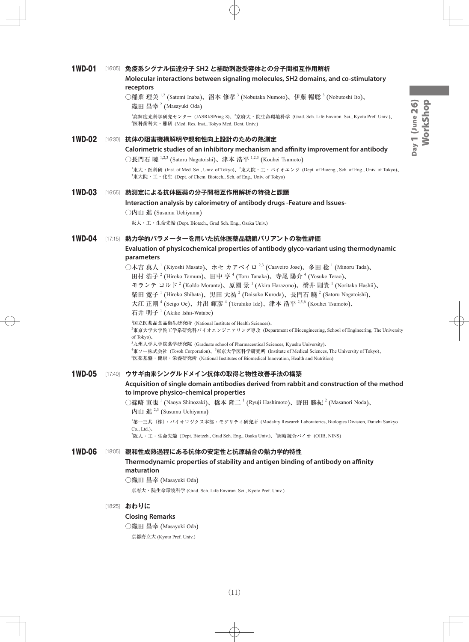#### 1WD-01 [16:05] **免疫系シグナル伝達分子 SH2 と補助刺激受容体との分子間相互作用解析 Molecular interactions between signaling molecules, SH2 domains, and co-stimulatory receptors**

○稲葉 理美  $^{1,2}$  (Satomi Inaba)、沼本 修孝  $^3$  (Nobutaka Numoto)、伊藤 暢聡  $^3$  (Nobutoshi Ito)、 織田 昌幸 <sup>2</sup> (Masayuki Oda)

<sup>1</sup>高輝度光科学研究センター (JASRI/SPring-8)、<sup>2</sup>京府大・院生命環境科学 (Grad. Sch. Life Environ. Sci., Kyoto Pref. Univ.)、 3 医科歯科大・難研 (Med. Res. Inst., Tokyo Med. Dent. Univ.)

#### 1WD-02 [16:30] **抗体の阻害機構解明や親和性向上設計のための熱測定**

**Calorimetric studies of an inhibitory mechanism and affinity improvement for antibody**

○長門石 曉 <sup>1,2,3</sup> (Satoru Nagatoishi)、津本 浩平 <sup>1,2,3</sup> (Kouhei Tsumoto)

 $^1$ 東大・医科研 (Inst. of Med. Sci., Univ. of Tokyo)、 $^2$ 東大院・工・バイオエンジ (Dept. of Bioeng., Sch. of Eng., Univ. of Tokyo)、 3 東大院・工・化生 (Dept. of Chem. Biotech., Sch. of Eng., Univ. of Tokyo)

#### 1WD-03 [16:55] **熱測定による抗体医薬の分子間相互作用解析の特徴と課題**

#### **Interaction analysis by calorimetry of antibody drugs -Feature and Issues-**

阪大・工・生命先端 (Dept. Biotech., Grad Sch. Eng., Osaka Univ.)

#### 1WD-04 [17:15] **熱力学的パラメーターを用いた抗体医薬品糖鎖バリアントの物性評価**

#### **Evaluation of physicochemical properties of antibody glyco-variant using thermodynamic parameters**

○木吉 真人 <sup>1</sup> (Kiyoshi Masato)、ホセ カアベイロ <sup>2,3</sup> (Caaveiro Jose)、多田 稔 <sup>1</sup> (Minoru Tada)、

田村 浩子<sup>2</sup> (Hiroko Tamura)、田中 亨<sup>4</sup> (Toru Tanaka)、寺尾 陽介<sup>4</sup> (Yosuke Terao)、

モランテ コルド<sup>2</sup> (Koldo Morante)、原園 景 <sup>1</sup> (Akira Harazono)、橋井 則貴 <sup>1</sup> (Noritaka Hashii)、

柴田 寛子  $^1$  (Hiroko Shibata)、黒田 大祐  $^2$  (Daisuke Kuroda)、長門石 曉  $^2$  (Satoru Nagatoishi)、

大江 正剛 <sup>4</sup> (Seigo Oe)、井出 輝彦 <sup>4</sup> (Teruhiko Ide)、津本 浩平 <sup>2,5,6</sup> (Kouhei Tsumoto)、

石井 明子 <sup>1</sup> (Akiko Ishii-Watabe)

1 国立医薬品食品衛生研究所 (National Institute of Health Sciences)、

2 東京大学大学院工学系研究科バイオエンジニアリング専攻 (Department of Bioengineering, School of Engineering, The University of Tokyo)、

3 九州大学大学院薬学研究院 (Graduate school of Pharmaceutical Sciences, Kyushu University)、

<sup>4</sup>東ソー株式会社 (Tosoh Corporation)、<sup>5</sup>東京大学医科学研究所 (Institute of Medical Sciences, The University of Tokyo)、

6 医薬基盤・健康・栄養研究所 (National Institutes of Biomedical Innovation, Health and Nutrition)

#### 1WD-05 [17:40] **ウサギ由来シングルドメイン抗体の取得と物性改善手法の構築**

**Acquisition of single domain antibodies derived from rabbit and construction of the method to improve physico-chemical properties**

○篠崎 直也 <sup>1</sup> (Naoya Shinozaki)、橋本 隆二 <sup>1</sup> (Ryuji Hashimoto)、野田 勝紀 <sup>2</sup> (Masanori Noda)、 内山 進<sup>2,3</sup> (Susumu Uchiyama)

1 第一三共(株)・バイオロジクス本部・モダリティ研究所 (Modality Research Laboratories, Biologics Division, Daiichi Sankyo Co., Ltd.)、

2 阪大・工・生命先端 (Dept. Biotech., Grad Sch. Eng., Osaka Univ.)、<sup>3</sup> 岡崎統合バイオ (OIIB, NINS)

#### 1WD-06 [18:05] **親和性成熟過程にある抗体の安定性と抗原結合の熱力学的特性**

**Thermodynamic properties of stability and antigen binding of antibody on affinity maturation**

○織田 昌幸 (Masayuki Oda)

京府大・院生命環境科学 (Grad. Sch. Life Environ. Sci., Kyoto Pref. Univ.)

#### [18:25] **おわりに**

#### **Closing Remarks**

○織田 昌幸 (Masayuki Oda)

京都府立大 (Kyoto Pref. Univ.)

<sup>○</sup>内山 進 (Susumu Uchiyama)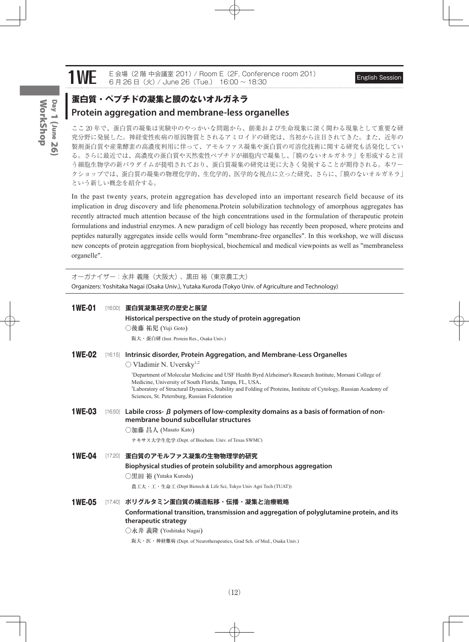# 1WE E 会場 (2 階 中会議室 201) / Room E (2F, Conference room 201) English Session 6 月 26 日(火) / June 26 (Tue.) 16:00 ~ 18:30

### **蛋白質・ペプチドの凝集と膜のないオルガネラ Protein aggregation and membrane-less organelles**

ここ 20 年で、蛋白質の凝集は実験中のやっかいな問題から、創薬および生命現象に深く関わる現象として重要な研 究分野に発展した。神経変性疾病の原因物質とされるアミロイドの研究は、当初から注目されてきた。また、近年の 製剤蛋白質や産業酵素の高濃度利用に伴って、アモルファス凝集や蛋白質の可溶化技術に関する研究も活発化してい る。さらに最近では、高濃度の蛋白質や天然変性ペプチドが細胞内で凝集し、「膜のないオルガネラ」を形成すると言 う細胞生物学の新パラダイムが提唱されており、蛋白質凝集の研究は更に大きく発展することが期待される。本ワー クショップでは、蛋白質の凝集の物理化学的、生化学的、医学的な視点に立った研究、さらに、「膜のないオルガネラ」 という新しい概念を紹介する。

In the past twenty years, protein aggregation has developed into an important research field because of its implication in drug discovery and life phenomena.Protein solubilization technology of amorphous aggregates has recently attracted much attention because of the high concentrations used in the formulation of therapeutic protein formulations and industrial enzymes. A new paradigm of cell biology has recently been proposed, where proteins and peptides naturally aggregates inside cells would form "membrane-free organelles". In this workshop, we will discuss new concepts of protein aggregation from biophysical, biochemical and medical viewpoints as well as "membraneless organelle".

オーガナイザー:永井 義隆(大阪大)、黒田 裕(東京農工大) Organizers: Yoshitaka Nagai (Osaka Univ.), Yutaka Kuroda (Tokyo Univ. of Agriculture and Technology)

| <b>1WE-01</b> | [16:00] 蛋白質凝集研究の歴史と展望                                                                                                                                                          |
|---------------|--------------------------------------------------------------------------------------------------------------------------------------------------------------------------------|
|               | Historical perspective on the study of protein aggregation                                                                                                                     |
|               | ○後藤 祐児 (Yuji Goto)                                                                                                                                                             |
|               | 阪大·蛋白研 (Inst. Protein Res., Osaka Univ.)                                                                                                                                       |
| <b>1WE-02</b> | [16:15] Intrinsic disorder, Protein Aggregation, and Membrane-Less Organelles                                                                                                  |
|               | $\bigcirc$ Vladimir N. Uversky <sup>1,2</sup>                                                                                                                                  |
|               | <sup>1</sup> Department of Molecular Medicine and USF Health Byrd Alzheimer's Research Institute, Morsani College of<br>Medicine, University of South Florida, Tampa, FL, USA, |
|               | <sup>2</sup> Laboratory of Structural Dynamics, Stability and Folding of Proteins, Institute of Cytology, Russian Academy of<br>Sciences, St. Petersburg, Russian Federation   |
| <b>1WE-03</b> | [16:50] Labile cross- $\beta$ polymers of low-complexity domains as a basis of formation of non-<br>membrane bound subcellular structures                                      |
|               | ◯加藤 昌人 (Masato Kato)                                                                                                                                                           |
|               | テキサス大学生化学 (Dept. of Biochem. Univ. of Texas SWMC)                                                                                                                              |
| <b>1WE-04</b> | [17:20] 蛋白質のアモルファス凝集の生物物理学的研究                                                                                                                                                  |
|               | Biophysical studies of protein solubility and amorphous aggregation                                                                                                            |
|               | ○黒田 裕 (Yutaka Kuroda)                                                                                                                                                          |
|               | 農工大・工・生命工 (Dept Biotech & Life Sci, Tokyo Univ Agri Tech (TUAT))                                                                                                               |
| <b>1WE-05</b> | [17:40] ポリグルタミン蛋白質の構造転移・伝播・凝集と治療戦略                                                                                                                                             |
|               | Conformational transition, transmission and aggregation of polyglutamine protein, and its<br>therapeutic strategy                                                              |
|               | ○永井 義隆 (Yoshitaka Nagai)                                                                                                                                                       |
|               | 阪大・医・神経難病 (Dept. of Neurotherapeutics, Grad Sch. of Med., Osaka Univ.)                                                                                                         |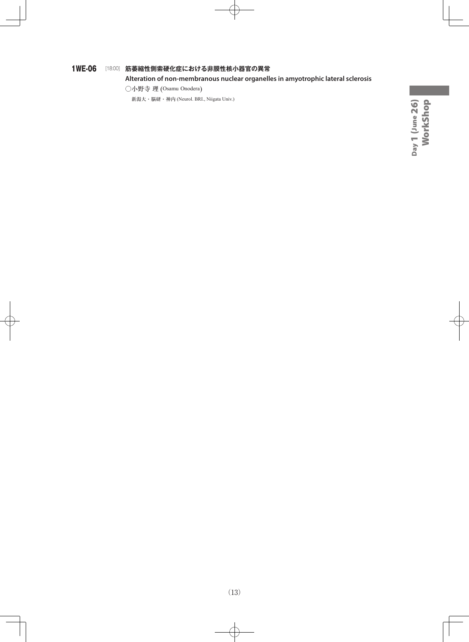#### 1WE-06 [18:00] **筋萎縮性側索硬化症における非膜性核小器官の異常**

#### **Alteration of non-membranous nuclear organelles in amyotrophic lateral sclerosis**

○小野寺 理 (Osamu Onodera)

新潟大・脳研・神内 (Neurol. BRI., Niigata Univ.)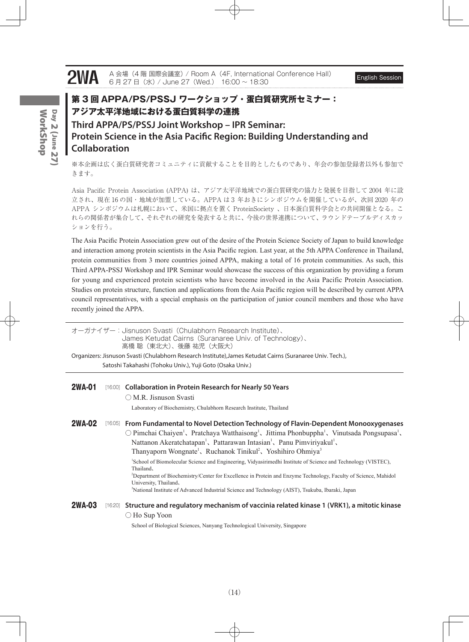# **2WA** A 会場 (4 階 国際会議室) / Room A (4F, International Conference Hall) English Session 6 月 27 日(水) / June 27 (Wed.) 16:00 ~ 18:30

**Collaboration**

### **第 3 回 APPA/PS/PSSJ ワークショップ・蛋白質研究所セミナー: アジア太平洋地域における蛋白質科学の連携 Third APPA/PS/PSSJ Joint Workshop – IPR Seminar: Protein Science in the Asia Pacific Region: Building Understanding and**

※本企画は広く蛋白質研究者コミュニティに貢献することを目的としたものであり、年会の参加登録者以外も参加で きます。

Asia Pacific Protein Association (APPA) は、アジア太平洋地域での蛋白質研究の協力と発展を目指して 2004 年に設 立され、現在 16 の国・地域が加盟している。APPA は 3 年おきにシンポジウムを開催しているが、次回 2020 年の APPA シンポジウムは札幌において、米国に拠点を置く ProteinSociety 、日本蛋白質科学会との共同開催となる。こ れらの関係者が集合して、それぞれの研究を発表すると共に、今後の世界連携について、ラウンドテーブルディスカッ ションを行う。

The Asia Pacific Protein Association grew out of the desire of the Protein Science Society of Japan to build knowledge and interaction among protein scientists in the Asia Pacific region. Last year, at the 5th APPA Conference in Thailand, protein communities from 3 more countries joined APPA, making a total of 16 protein communities. As such, this Third APPA-PSSJ Workshop and IPR Seminar would showcase the success of this organization by providing a forum for young and experienced protein scientists who have become involved in the Asia Pacific Protein Association. Studies on protein structure, function and applications from the Asia Pacific region will be described by current APPA council representatives, with a special emphasis on the participation of junior council members and those who have recently joined the APPA.

| オーガナイザー: Jisnuson Svasti (Chulabhorn Research Institute)、<br>James Ketudat Cairns (Suranaree Univ. of Technology).<br>高橋 聡(東北大)、後藤 祐児(大阪大) |         |                                                                                                                                                                                                                                                                                                                                                                                                                                                                      |  |  |  |
|--------------------------------------------------------------------------------------------------------------------------------------------|---------|----------------------------------------------------------------------------------------------------------------------------------------------------------------------------------------------------------------------------------------------------------------------------------------------------------------------------------------------------------------------------------------------------------------------------------------------------------------------|--|--|--|
|                                                                                                                                            |         | Organizers: Jisnuson Svasti (Chulabhorn Research Institute), James Ketudat Cairns (Suranaree Univ. Tech.),                                                                                                                                                                                                                                                                                                                                                           |  |  |  |
|                                                                                                                                            |         | Satoshi Takahashi (Tohoku Univ.), Yuji Goto (Osaka Univ.)                                                                                                                                                                                                                                                                                                                                                                                                            |  |  |  |
|                                                                                                                                            |         |                                                                                                                                                                                                                                                                                                                                                                                                                                                                      |  |  |  |
| <b>2WA-01</b>                                                                                                                              |         | [16:00] Collaboration in Protein Research for Nearly 50 Years                                                                                                                                                                                                                                                                                                                                                                                                        |  |  |  |
|                                                                                                                                            |         | ○ M.R. Jisnuson Svasti                                                                                                                                                                                                                                                                                                                                                                                                                                               |  |  |  |
|                                                                                                                                            |         | Laboratory of Biochemistry, Chulabhorn Research Institute, Thailand                                                                                                                                                                                                                                                                                                                                                                                                  |  |  |  |
| <b>2WA-02</b>                                                                                                                              | [16:05] | From Fundamental to Novel Detection Technology of Flavin-Dependent Monooxygenases<br>$\circlearrowright$ Pimchai Chaiyen <sup>1</sup> , Pratchaya Watthaisong <sup>1</sup> , Jittima Phonbuppha <sup>1</sup> , Vinutsada Pongsupasa <sup>1</sup> ,<br>Nattanon Akeratchatapan <sup>1</sup> , Pattarawan Intasian <sup>1</sup> , Panu Pimviriyakul <sup>1</sup> ,<br>Thanyaporn Wongnate <sup>1</sup> , Ruchanok Tinikul <sup>2</sup> , Yoshihiro Ohmiya <sup>3</sup> |  |  |  |
|                                                                                                                                            |         | 'School of Biomolecular Science and Engineering, Vidyasirimedhi Institute of Science and Technology (VISTEC),<br>Thailand,<br><sup>2</sup> Department of Biochemistry/Center for Excellence in Protein and Enzyme Technology, Faculty of Science, Mahidol<br>University, Thailand,<br><sup>3</sup> National Institute of Advanced Industrial Science and Technology (AIST), Tsukuba, Ibaraki, Japan                                                                  |  |  |  |
| <b>2WA-03</b>                                                                                                                              | [16:20] | Structure and regulatory mechanism of vaccinia related kinase 1 (VRK1), a mitotic kinase                                                                                                                                                                                                                                                                                                                                                                             |  |  |  |
|                                                                                                                                            |         | $\bigcirc$ Ho Sup Yoon                                                                                                                                                                                                                                                                                                                                                                                                                                               |  |  |  |
|                                                                                                                                            |         | School of Biological Sciences, Nanyang Technological University, Singapore                                                                                                                                                                                                                                                                                                                                                                                           |  |  |  |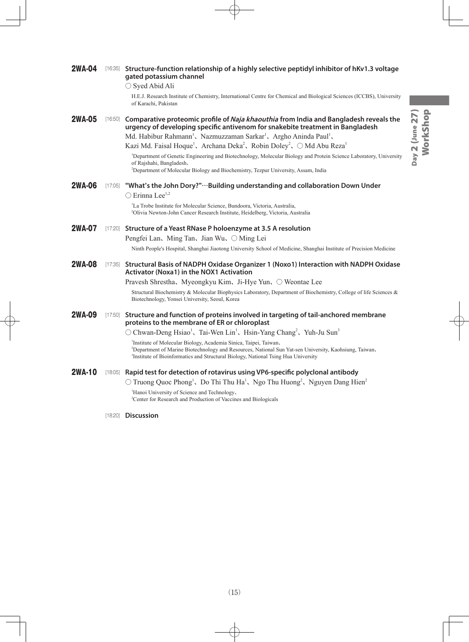| <b>2WA-04</b> | [16:35] | Structure-function relationship of a highly selective peptidyl inhibitor of hKv1.3 voltage<br>gated potassium channel                                                                                                |
|---------------|---------|----------------------------------------------------------------------------------------------------------------------------------------------------------------------------------------------------------------------|
|               |         | $\bigcirc$ Syed Abid Ali                                                                                                                                                                                             |
|               |         | H.E.J. Research Institute of Chemistry, International Centre for Chemical and Biological Sciences (ICCBS), University                                                                                                |
|               |         | of Karachi, Pakistan                                                                                                                                                                                                 |
| <b>2WA-05</b> | [16:50] | Comparative proteomic profile of Naja khaouthia from India and Bangladesh reveals the<br>urgency of developing specific antivenom for snakebite treatment in Bangladesh                                              |
|               |         | Md. Habibur Rahmann <sup>1</sup> , Nazmuzzaman Sarkar <sup>1</sup> , Argho Aninda Paul <sup>1</sup> ,                                                                                                                |
|               |         | Kazi Md. Faisal Hoque <sup>1</sup> , Archana Deka <sup>2</sup> , Robin Doley <sup>2</sup> , $\bigcirc$ Md Abu Reza <sup>1</sup>                                                                                      |
|               |         | <sup>1</sup> Department of Genetic Engineering and Biotechnology, Molecular Biology and Protein Science Laboratory, University<br>of Rajshahi, Bangladesh,                                                           |
|               |         | <sup>2</sup> Department of Molecular Biology and Biochemistry, Tezpur University, Assam, India                                                                                                                       |
| 2WA-06        | [17:05] | "What's the John Dory?"…Building understanding and collaboration Down Under                                                                                                                                          |
|               |         | $\bigcirc$ Erinna Lee <sup>1,2</sup>                                                                                                                                                                                 |
|               |         | La Trobe Institute for Molecular Science, Bundoora, Victoria, Australia,<br><sup>2</sup> Olivia Newton-John Cancer Research Institute, Heidelberg, Victoria, Australia                                               |
|               |         |                                                                                                                                                                                                                      |
| <b>2WA-07</b> |         | [17:20] Structure of a Yeast RNase P holoenzyme at 3.5 A resolution                                                                                                                                                  |
|               |         | Pengfei Lan, Ming Tan, Jian Wu, ○ Ming Lei                                                                                                                                                                           |
|               |         | Ninth People's Hospital, Shanghai Jiaotong University School of Medicine, Shanghai Institute of Precision Medicine                                                                                                   |
| <b>2WA-08</b> | [17:35] | Structural Basis of NADPH Oxidase Organizer 1 (Noxo1) Interaction with NADPH Oxidase<br><b>Activator (Noxa1) in the NOX1 Activation</b>                                                                              |
|               |         | Pravesh Shrestha, Myeongkyu Kim, Ji-Hye Yun, ○ Weontae Lee                                                                                                                                                           |
|               |         | Structural Biochemistry & Molecular Biophysics Laboratory, Department of Biochemistry, College of life Sciences &<br>Biotechnology, Yonsei University, Seoul, Korea                                                  |
| <b>2WA-09</b> | [17:50] | Structure and function of proteins involved in targeting of tail-anchored membrane<br>proteins to the membrane of ER or chloroplast                                                                                  |
|               |         | $\circlearrowright$ Chwan-Deng Hsiao <sup>1</sup> , Tai-Wen Lin <sup>1</sup> , Hsin-Yang Chang <sup>2</sup> , Yuh-Ju Sun <sup>3</sup>                                                                                |
|               |         | Institute of Molecular Biology, Academia Sinica, Taipei, Taiwan,                                                                                                                                                     |
|               |         | <sup>2</sup> Department of Marine Biotechnology and Resources, National Sun Yat-sen University, Kaohsiung, Taiwan,<br><sup>3</sup> Institute of Bioinformatics and Structural Biology, National Tsing Hua University |
| <b>2WA-10</b> |         | [18:05] Rapid test for detection of rotavirus using VP6-specific polyclonal antibody                                                                                                                                 |
|               |         | $\circlearrowright$ Truong Quoc Phong <sup>1</sup> , Do Thi Thu Ha <sup>1</sup> , Ngo Thu Huong <sup>2</sup> , Nguyen Dang Hien <sup>2</sup>                                                                         |
|               |         | Hanoi University of Science and Technology,<br><sup>2</sup> Center for Research and Production of Vaccines and Biologicals                                                                                           |

[18:20] **Discussion**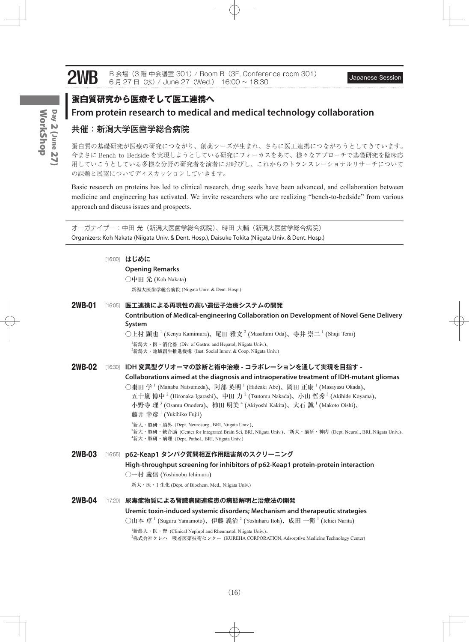### **蛋白質研究から医療そして医工連携へ**

### **From protein research to medical and medical technology collaboration**

#### 共催:新潟大学医歯学総合病院

蛋白質の基礎研究が医療の研究につながり、創薬シーズが生まれ、さらに医工連携につながろうとしてきています。 今まさに Bench to Bedside を実現しようとしている研究にフォーカスをあて、様々なアプローチで基礎研究を臨床応 用していこうとしている多様な分野の研究者を演者にお呼びし、これからのトランスレーショナルリサーチについて の課題と展望についてディスカッションしていきます。

Basic research on proteins has led to clinical research, drug seeds have been advanced, and collaboration between medicine and engineering has activated. We invite researchers who are realizing "bench-to-bedside" from various approach and discuss issues and prospects.

オーガナイザー:中田 光(新潟大医歯学総合病院)、時田 大輔(新潟大医歯学総合病院) Organizers: Koh Nakata (Niigata Univ. & Dent. Hosp.), Daisuke Tokita (Niigata Univ. & Dent. Hosp.)

[16:00] **はじめに**

#### **Opening Remarks**

○中田 光 (Koh Nakata)

新潟大医歯学総合病院 (Niigata Univ. & Dent. Hosp.)

2WB-01 [16:05] **医工連携による再現性の高い遺伝子治療システムの開発 Contribution of Medical-engineering Collaboration on Development of Novel Gene Delivery System** ○上村 顕也  $^1$  (Kenya Kamimura)、尾田 雅文  $^2$  (Masafumi Oda)、寺井 崇二  $^1$  (Shuji Terai) 1 新潟大・医・消化器 (Div. of Gastro. and Hepatol, Niigata Univ.)、 2 新潟大・地域創生推進機構 (Inst. Social Innov. & Coop. Niigata Univ.) 2WB-02 [16:30] **IDH 変異型グリオーマの診断と術中治療 - コラボレーションを通して実現を目指す - Collaborations aimed at the diagnosis and intraoperative treatment of IDH-mutant gliomas** ◯棗田 学  $^1$  (Manabu Natsumeda)、阿部 英明  $^1$  (Hideaki Abe)、岡田 正康  $^1$  (Masayasu Okada)、 五十嵐 博中<sup>2</sup> (Hironaka Igarashi)、中田 力<sup>2</sup> (Tsutomu Nakada)、小山 哲秀<sup>3</sup> (Akihide Koyama)、 小野寺 理 3 (Osamu Onodera)、柿田 明美 4 (Akiyoshi Kakita)、大石 誠 <sup>1</sup> (Makoto Oishi)、 藤井 幸彦<sup>1</sup> (Yukihiko Fujii) 1 新大・脳研・脳外 (Dept. Neurosurg., BRI, Niigata Univ.)、 <sup>2</sup>新大・脳研・統合脳 (Center for Integrated Brain Sci, BRI, Niigata Univ.)、<sup>3</sup>新大・脳研・神内 (Dept. Neurol., BRI, Niigata Univ.)、 4 新大・脳研・病理 (Dept. Pathol., BRI, Niigata Univ.) 2WB-03 [16:55] **p62-Keap1 タンパク質間相互作用阻害剤のスクリーニング High-throughput screening for inhibitors of p62-Keap1 protein-protein interaction** ○一村 義信 (Yoshinobu Ichimura) 新大・医・1 生化 (Dept. of Biochem. Med., Niigata Univ.) 2WB-04 [17:20] **尿毒症物質による腎臓病関連疾患の病態解明と治療法の開発 Uremic toxin-induced systemic disorders; Mechanism and therapeutic strategies** ○山本 卓 <sup>1</sup> (Suguru Yamamoto)、伊藤 義治 <sup>2</sup> (Yoshiharu Itoh)、成田 一衛 <sup>1</sup> (Ichiei Narita) 1 新潟大・医・腎 (Clinical Nephrol and Rheumatol, Niigata Univ.)、 2 株式会社クレハ 吸着医薬技術センター (KUREHA CORPORATION, Adsorptive Medicine Technology Center)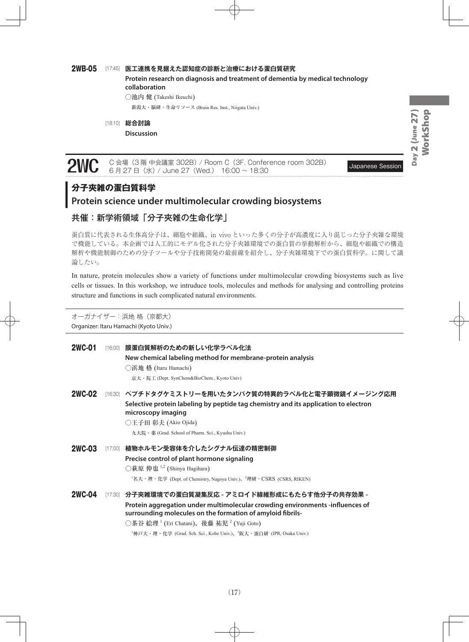#### 2WB-05 [17:45] **医工連携を見据えた認知症の診断と治療における蛋白質研究**

**Protein research on diagnosis and treatment of dementia by medical technology collaboration** ○池内 健 (Takeshi Ikeuchi)

新潟大・脳研・生命リソース (Brain Res. Inst., Niigata Univ.)

[18:10] **総合討論**

**Discussion** 

**2WC** C 会場 (3 階 中会議室 302B) / Room C (3F, Conference room 302B) Japanese Session 6 月 27 日(水) / June 27 (Wed.) 16:00 ~ 18:30

### **分子夾雑の蛋白質科学**

### **Protein science under multimolecular crowding biosystems**

### 共催:新学術領域「分子夾雑の生命化学」

蛋白質に代表される生体高分子は、細胞や組織、in vivo といった多くの分子が高濃度に入り混じった分子夾雑な環境 で機能している。本企画では人工的にモデル化された分子夾雑環境での蛋白質の挙動解析から、細胞や組織での構造 解析や機能制御のための分子ツールや分子技術開発の最前線を紹介し、分子夾雑環境下での蛋白質科学。に関して議 論したい。

In nature, protein molecules show a variety of functions under multimolecular crowding biosystems such as live cells or tissues. In this workshop, we intruduce tools, molecules and methods for analysing and controlling proteins structure and functions in such complicated natural environments.

オーガナイザー:浜地 格(京都大) Organizer: Itaru Hamachi (Kyoto Univ.)

| <b>2WC-01</b> |         | [16:00] 膜蛋白質解析のための新しい化学ラベル化法                                                                                                                |
|---------------|---------|---------------------------------------------------------------------------------------------------------------------------------------------|
|               |         | New chemical labeling method for membrane-protein analysis                                                                                  |
|               |         | ○浜地 格 (Itaru Hamachi)                                                                                                                       |
|               |         | 京大·院工 (Dept. SynChem&BioChem., Kyoto Univ)                                                                                                  |
| <b>2WC-02</b> |         | [16:30] ペプチドタグケミストリーを用いたタンパク質の特異的ラベル化と電子顕微鏡イメージング応用                                                                                         |
|               |         | Selective protein labeling by peptide tag chemistry and its application to electron<br>microscopy imaging                                   |
|               |         | ○王子田 彰夫 (Akio Ojida)                                                                                                                        |
|               |         | 九大院 · 薬 (Grad. School of Pharm. Sci., Kyushu Univ.)                                                                                         |
| <b>2WC-03</b> |         | [17:00] 植物ホルモン受容体を介したシグナル伝達の精密制御                                                                                                            |
|               |         | Precise control of plant hormone signaling                                                                                                  |
|               |         | ○萩原 伸也 1,2 (Shinya Hagihara)                                                                                                                |
|               |         | <sup>1</sup> 名大・理・化学 (Dept. of Chemistry, Nagoya Univ.)、 <sup>2</sup> 理研・CSRS (CSRS, RIKEN)                                                 |
| <b>2WC-04</b> | [17:30] | 分子夾雑環境での蛋白質凝集反応 - アミロイド線維形成にもたらす他分子の共存効果 -                                                                                                  |
|               |         | Protein aggregation under multimolecular crowding environments -influences of<br>surrounding molecules on the formation of amyloid fibrils- |
|               |         | ○茶谷 絵理 <sup>1</sup> (Eri Chatani)、後藤 祐児 <sup>2</sup> (Yuji Goto)                                                                            |
|               |         | <sup>1</sup> 神戸大・理・化学 (Grad. Sch. Sci., Kobe Univ.)、 <sup>2</sup> 阪大・蛋白研 (IPR, Osaka Univ.)                                                 |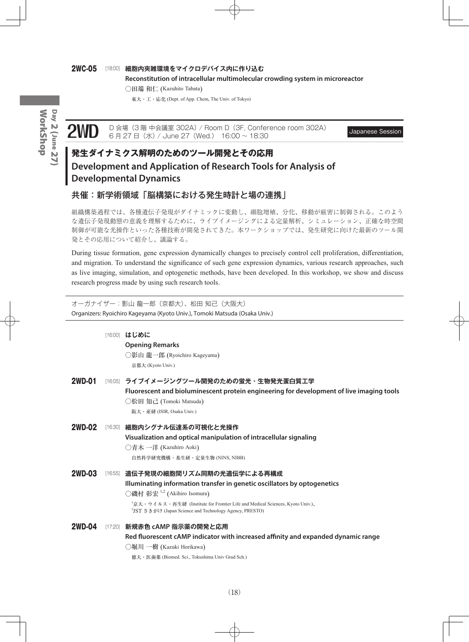#### 2WC-05 [18:00] **細胞内夾雑環境をマイクロデバイス内に作り込む**

**Reconstitution of intracellular multimolecular crowding system in microreactor**

○田端 和仁 (Kazuhito Tabata)

東大 ・ 工・応化 (Dept. of App. Chem, The Univ. of Tokyo)

Day 2 (June 27) WorkShop WorkShopDay 2 (June 27)

D 会場(3 階 中会議室 302A)/ Room D(3F, Conference room 302A) Japanese Session<br>6 月 27 日(水)/ June 27(Wed.) 16:00 ~ 18:30

### **発生ダイナミクス解明のためのツール開発とその応用 Development and Application of Research Tools for Analysis of Developmental Dynamics**

### 共催:新学術領域「脳構築における発生時計と場の連携」

組織構築過程では、各種遺伝子発現がダイナミックに変動し、細胞増殖、分化、移動が厳密に制御される。このよう な遺伝子発現動態の意義を理解するために、ライブイメージングによる定量解析、シミュレーション、正確な時空間 制御が可能な光操作といった各種技術が開発されてきた。本ワークショップでは、発生研究に向けた最新のツール開 発とその応用について紹介し、議論する。

During tissue formation, gene expression dynamically changes to precisely control cell proliferation, differentiation, and migration. To understand the significance of such gene expression dynamics, various research approaches, such as live imaging, simulation, and optogenetic methods, have been developed. In this workshop, we show and discuss research progress made by using such research tools.

オーガナイザー:影山 龍一郎(京都大)、松田 知己(大阪大) Organizers: Ryoichiro Kageyama (Kyoto Univ.), Tomoki Matsuda (Osaka Univ.)

|        | [16:00] はじめに                                                                                                                                                     |
|--------|------------------------------------------------------------------------------------------------------------------------------------------------------------------|
|        | <b>Opening Remarks</b>                                                                                                                                           |
|        | ○影山 龍一郎 (Ryoichiro Kageyama)                                                                                                                                     |
|        | 京都大 (Kyoto Univ.)                                                                                                                                                |
| 2WD-01 | [16:05] ライブイメージングツール開発のための蛍光・生物発光蛋白質工学                                                                                                                           |
|        | Fluorescent and bioluminescent protein engineering for development of live imaging tools                                                                         |
|        | ○松田 知己 (Tomoki Matsuda)                                                                                                                                          |
|        | 阪大・産研 (ISIR, Osaka Univ.)                                                                                                                                        |
| 2WD-02 | 16:30  細胞内シグナル伝達系の可視化と光操作                                                                                                                                        |
|        | Visualization and optical manipulation of intracellular signaling                                                                                                |
|        | ○青木 一洋 (Kazuhiro Aoki)                                                                                                                                           |
|        | 自然科学研究機構・基生研・定量生物 (NINS, NIBB)                                                                                                                                   |
| 2WD-03 | [16:55] 遺伝子発現の細胞間リズム同期の光遺伝学による再構成                                                                                                                                |
|        | Illuminating information transfer in genetic oscillators by optogenetics                                                                                         |
|        | ○磯村 彰宏 <sup>1,2</sup> (Akihiro Isomura)                                                                                                                          |
|        | <sup>1</sup> 京大・ウイルス・再生研 (Institute for Frontier Life and Medical Sciences, Kyoto Univ.)、<br><sup>2</sup> JST さきがけ (Japan Science and Technology Agency, PRESTO) |
| 2WD-04 | [17:20] 新規赤色 cAMP 指示薬の開発と応用                                                                                                                                      |
|        | Red fluorescent cAMP indicator with increased affinity and expanded dynamic range                                                                                |
|        | ◯堀川 一樹 (Kazuki Horikawa)                                                                                                                                         |
|        |                                                                                                                                                                  |

徳大・医歯薬 (Biomed. Sci., Tokushima Univ Grad Sch.)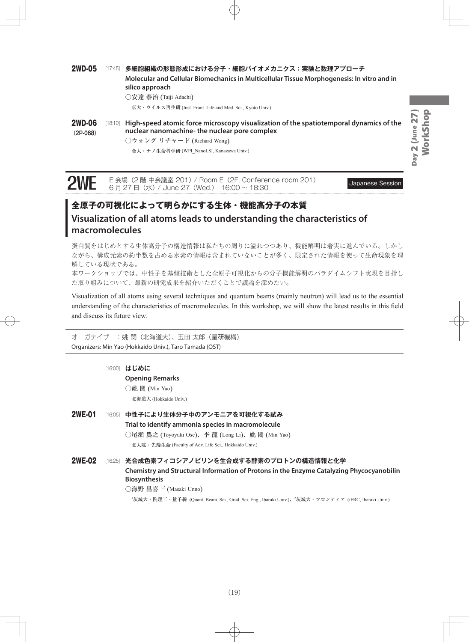WorkShop Day 2 (June 27) WorkShopDay 2 (June 27)

2WD-05 [17:45] **多細胞組織の形態形成における分子・細胞バイオメカニクス:実験と数理アプローチ Molecular and Cellular Biomechanics in Multicellular Tissue Morphogenesis: In vitro and in silico approach**

○安達 泰治 (Taiji Adachi)

京大・ウイルス再生研 (Inst. Front. Life and Med. Sci., Kyoto Univ.)

**2WD-06** [18:10] High-speed atomic force microscopy visualization of the spatiotemporal dynamics of the **(2P-068) nuclear nanomachine- the nuclear pore complex** ○ウォング リチャード (Richard Wong)

金大・ナノ生命科学研 (WPI\_NanoLSI, Kanazawa Univ.)

# **2WE** E 会場 (2 階 中会議室 201) / Room E (2F, Conference room 201) Japanese Session 6 月 27 日(水) / June 27 (Wed.) 16:00 ~ 18:30

### **全原子の可視化によって明らかにする生体・機能高分子の本質 Visualization of all atoms leads to understanding the characteristics of macromolecules**

蛋白質をはじめとする生体高分子の構造情報は私たちの周りに溢れつつあり、機能解明は着実に進んでいる。しかし ながら、構成元素の約半数を占める水素の情報は含まれていないことが多く、限定された情報を使って生命現象を理 解している現状である。

本ワークショップでは、中性子を基盤技術とした全原子可視化からの分子機能解明のパラダイムシフト実現を目指し た取り組みについて、最新の研究成果を紹介いただくことで議論を深めたい。

Visualization of all atoms using several techniques and quantum beams (mainly neutron) will lead us to the essential understanding of the characteristics of macromolecules. In this workshop, we will show the latest results in this field and discuss its future view.

オーガナイザー:姚 閔(北海道大)、玉田太郎(量研機構) Organizers: Min Yao (Hokkaido Univ.), Taro Tamada (QST)

|               | [16:00] | はじめに                                                                                                            |
|---------------|---------|-----------------------------------------------------------------------------------------------------------------|
|               |         | <b>Opening Remarks</b>                                                                                          |
|               |         | ◯姚 閔 (Min Yao)                                                                                                  |
|               |         | 北海道大 (Hokkaido Univ.)                                                                                           |
| <b>2WE-01</b> | [16:05] | 中性子により生体分子中のアンモニアを可視化する試み                                                                                       |
|               |         | Trial to identify ammonia species in macromolecule                                                              |
|               |         | ○尾瀬 農之 (Toyoyuki Ose)、李 龍 (Long Li)、姚 閔 (Min Yao)                                                               |
|               |         | 北大院・先端生命 (Faculty of Adv. Life Sci., Hokkaido Univ.)                                                            |
| 2WE-02        |         | [16:25] 光合成色素フィコシアノビリンを生合成する酵素のプロトンの構造情報と化学                                                                     |
|               |         | Chemistry and Structural Information of Protons in the Enzyme Catalyzing Phycocyanobilin<br><b>Biosynthesis</b> |
|               |         |                                                                                                                 |

○海野 昌喜 <sup>1</sup>,<sup>2</sup> (Masaki Unno)

1 茨城大・院理工・量子線 (Quant. Beam. Sci., Grad. Sci. Eng., Ibaraki Univ.)、<sup>2</sup> 茨城大・フロンティア (iFRC, Ibaraki Univ.)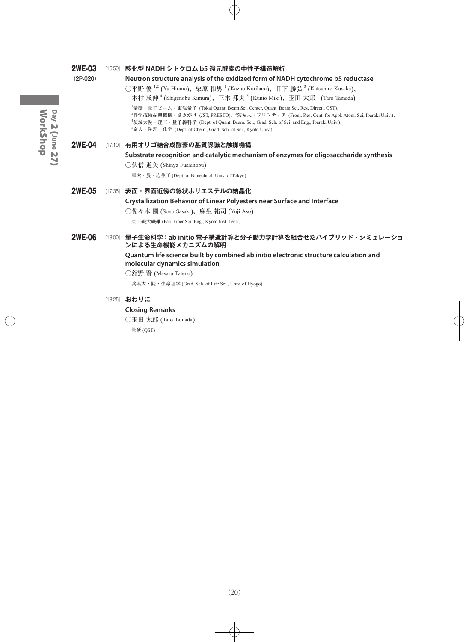| <b>2WE-03</b> | [16:50] 酸化型 NADH シトクロム b5 還元酵素の中性子構造解析                                                                                                                                                                                                                                                                                                                                                             |
|---------------|----------------------------------------------------------------------------------------------------------------------------------------------------------------------------------------------------------------------------------------------------------------------------------------------------------------------------------------------------------------------------------------------------|
| $(2P-020)$    | Neutron structure analysis of the oxidized form of NADH cytochrome b5 reductase                                                                                                                                                                                                                                                                                                                    |
|               | ○平野 優 <sup>1,2</sup> (Yu Hirano)、栗原 和男 <sup>1</sup> (Kazuo Kurihara)、日下 勝弘 <sup>3</sup> (Katsuhiro Kusaka)、                                                                                                                                                                                                                                                                                        |
|               | 木村 成伸 <sup>4</sup> (Shigenobu Kimura)、三木 邦夫 <sup>5</sup> (Kunio Miki)、玉田 太郎 <sup>1</sup> (Taro Tamada)                                                                                                                                                                                                                                                                                             |
|               | <sup>1</sup> 量研・量子ビーム・東海量子 (Tokai Quant. Beam Sci. Center, Quant. Beam Sci. Res. Direct., QST)、<br><sup>2</sup> 科学技術振興機構・さきがけ (JST, PRESTO)、 技城大・フロンティア (Front. Res. Cent. for Appl. Atom. Sci, Ibaraki Univ.)、<br><sup>4</sup> 茨城大院・理工・量子線科学 (Dept. of Quant. Beam. Sci., Grad. Sch. of Sci. and Eng., Ibaraki Univ.)、<br><sup>5</sup> 京大・院理・化学 (Dept. of Chem., Grad. Sch. of Sci., Kyoto Univ.) |
| <b>2WE-04</b> | [17:10] 有用オリゴ糖合成酵素の基質認識と触媒機構                                                                                                                                                                                                                                                                                                                                                                       |
|               | Substrate recognition and catalytic mechanism of enzymes for oligosaccharide synthesis                                                                                                                                                                                                                                                                                                             |
|               | ○伏信 進矢 (Shinya Fushinobu)                                                                                                                                                                                                                                                                                                                                                                          |
|               | 東大・農・応生工 (Dept. of Biotechnol. Univ. of Tokyo)                                                                                                                                                                                                                                                                                                                                                     |
| <b>2WE-05</b> | [17:35] 表面・界面近傍の線状ポリエステルの結晶化                                                                                                                                                                                                                                                                                                                                                                       |
|               | <b>Crystallization Behavior of Linear Polyesters near Surface and Interface</b>                                                                                                                                                                                                                                                                                                                    |
|               | ○佐々木 園 (Sono Sasaki)、麻生 祐司 (Yuji Aso)                                                                                                                                                                                                                                                                                                                                                              |
|               | 京工繊大繊維 (Fac. Fiber Sci. Eng., Kyoto Inst. Tech.)                                                                                                                                                                                                                                                                                                                                                   |
| <b>2WE-06</b> | [18:00] 量子生命科学:ab initio 電子構造計算と分子動力学計算を組合せたハイブリッド・シミュレーショ<br>ンによる生命機能メカニズムの解明                                                                                                                                                                                                                                                                                                                     |
|               | Quantum life science built by combined ab initio electronic structure calculation and<br>molecular dynamics simulation                                                                                                                                                                                                                                                                             |
|               | ○舘野 賢 (Masaru Tateno)                                                                                                                                                                                                                                                                                                                                                                              |
|               | 兵県大・院・生命理学 (Grad. Sch. of Life Sci., Univ. of Hyogo)                                                                                                                                                                                                                                                                                                                                               |
|               | [18:25] おわりに                                                                                                                                                                                                                                                                                                                                                                                       |
|               | <b>Closing Remarks</b>                                                                                                                                                                                                                                                                                                                                                                             |
|               | ○玉田 太郎 (Taro Tamada)                                                                                                                                                                                                                                                                                                                                                                               |

量研 (QST)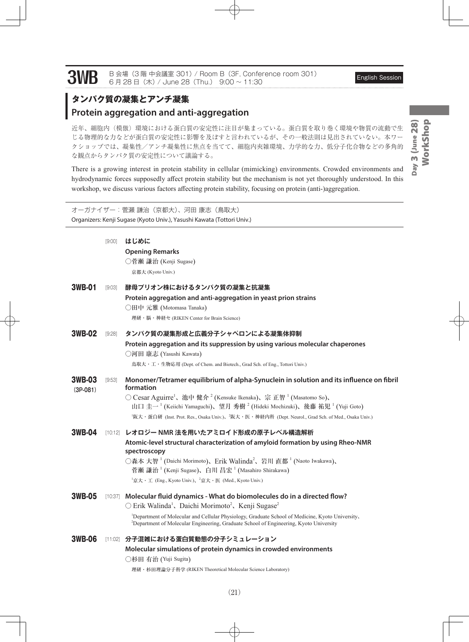3WB B 会場(3 階 中会議室 301) / Room B (3F, Conference room 301) English Session 6 月 28 日(木) / June 28 (Thu.) 9:00 ~ 11:30

### **タンパク質の凝集とアンチ凝集**

### **Protein aggregation and anti-aggregation**

近年、細胞内(模倣)環境における蛋白質の安定性に注目が集まっている。蛋白質を取り巻く環境や物質の流動で生 じる物理的な力などが蛋白質の安定性に影響を及ぼすと言われているが、その一般法則は見出されていない。本ワー クショップでは、凝集性/アンチ凝集性に焦点を当てて、細胞内夾雑環境、力学的な力、低分子化合物などの多角的 な観点からタンパク質の安定性について議論する。

There is a growing interest in protein stability in cellular (mimicking) environments. Crowded environments and hydrodynamic forces supposedly affect protein stability but the mechanism is not yet thoroughly understood. In this workshop, we discuss various factors affecting protein stability, focusing on protein (anti-)aggregation.

オーガナイザー:菅瀬 謙治(京都大)、河田 康志(鳥取大) Organizers: Kenji Sugase (Kyoto Univ.), Yasushi Kawata (Tottori Univ.)

|                      | [9:00] | はじめに                                                                                                                                                                                                               |
|----------------------|--------|--------------------------------------------------------------------------------------------------------------------------------------------------------------------------------------------------------------------|
|                      |        | <b>Opening Remarks</b>                                                                                                                                                                                             |
|                      |        | ○菅瀬 謙治 (Kenji Sugase)                                                                                                                                                                                              |
|                      |        | 京都大 (Kyoto Univ.)                                                                                                                                                                                                  |
| 3WB-01               | [9:03] | 酵母プリオン株におけるタンパク質の凝集と抗凝集                                                                                                                                                                                            |
|                      |        | Protein aggregation and anti-aggregation in yeast prion strains                                                                                                                                                    |
|                      |        | ○田中 元雅 (Motomasa Tanaka)                                                                                                                                                                                           |
|                      |        | 理研・脳・神経セ (RIKEN Center for Brain Science)                                                                                                                                                                          |
| <b>3WB-02</b>        | [9:28] | タンパク質の凝集形成と広義分子シャペロンによる凝集体抑制                                                                                                                                                                                       |
|                      |        | Protein aggregation and its suppression by using various molecular chaperones                                                                                                                                      |
|                      |        | ○河田 康志 (Yasushi Kawata)                                                                                                                                                                                            |
|                      |        | 鳥取大・工・生物応用 (Dept. of Chem. and Biotech., Grad Sch. of Eng., Tottori Univ.)                                                                                                                                         |
| 3WB-03<br>$(3P-081)$ | [9:53] | Monomer/Tetramer equilibrium of alpha-Synuclein in solution and its influence on fibril<br>formation                                                                                                               |
|                      |        | ○ Cesar Aguirre <sup>1</sup> 、池中 健介 <sup>2</sup> (Kensuke Ikenaka)、宗 正智 <sup>1</sup> (Masatomo So)、                                                                                                                |
|                      |        | 山口圭一 <sup>1</sup> (Keiichi Yamaguchi)、望月 秀樹 <sup>2</sup> (Hideki Mochizuki)、後藤 祐児 <sup>1</sup> (Yuji Goto)                                                                                                         |
|                      |        | <sup>1</sup> 阪大・蛋白研 (Inst. Prot. Res., Osaka Univ.)、 <sup>2</sup> 阪大・医・神経内科 (Dept. Neurol., Grad Sch. of Med., Osaka Univ.)                                                                                        |
| 3WB-04               |        | [10:12] レオロジー NMR 法を用いたアミロイド形成の原子レベル構造解析                                                                                                                                                                           |
|                      |        | Atomic-level structural characterization of amyloid formation by using Rheo-NMR<br>spectroscopy                                                                                                                    |
|                      |        | ○森本 大智 <sup>1</sup> (Daichi Morimoto)、Erik Walinda <sup>2</sup> 、岩川 直都 <sup>1</sup> (Naoto Iwakawa)、                                                                                                               |
|                      |        | 菅瀬 謙治 <sup>1</sup> (Kenji Sugase)、白川 昌宏 <sup>1</sup> (Masahiro Shirakawa)                                                                                                                                          |
|                      |        | <sup>1</sup> 京大・工 (Eng., Kyoto Univ.)、 <sup>2</sup> 京大・医 (Med., Kyoto Univ.)                                                                                                                                       |
| 3WB-05               |        | [10:37] Molecular fluid dynamics - What do biomolecules do in a directed flow?                                                                                                                                     |
|                      |        | O Erik Walinda <sup>1</sup> , Daichi Morimoto <sup>2</sup> , Kenji Sugase <sup>2</sup>                                                                                                                             |
|                      |        | <sup>1</sup> Department of Molecular and Cellular Physiology, Graduate School of Medicine, Kyoto University,<br><sup>2</sup> Department of Molecular Engineering, Graduate School of Engineering, Kyoto University |
|                      |        |                                                                                                                                                                                                                    |
| <b>3WB-06</b>        |        | [11:02] 分子混雑における蛋白質動態の分子シミュレーション                                                                                                                                                                                   |
|                      |        | Molecular simulations of protein dynamics in crowded environments                                                                                                                                                  |
|                      |        | ○杉田 有治 (Yuji Sugita)                                                                                                                                                                                               |
|                      |        | 理研 · 杉田理論分子科学 (RIKEN Theoretical Molecular Science Laboratory)                                                                                                                                                     |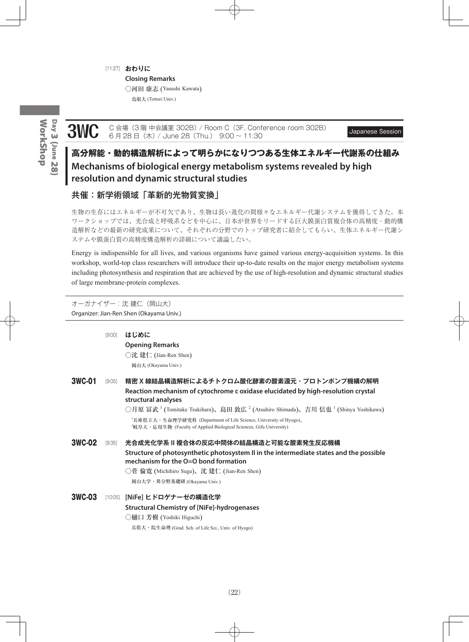#### [11:27] **おわりに**

**Closing Remarks**

○河田 康志 (Yasushi Kawata)

鳥取大 (Tottori Univ.)

# WorkShop WorkShopDay 3 (June 28) Day 3 (June 28

3WC C 会場 (3 階 中会議室 302B) / Room C (3F, Conference room 302B) Japanese Session 6 月 28 日(木) / June 28 (Thu.) 9:00 ~ 11:30

### **高分解能・動的構造解析によって明らかになりつつある生体エネルギー代謝系の仕組み Mechanisms of biological energy metabolism systems revealed by high resolution and dynamic structural studies**

### 共催:新学術領域「革新的光物質変換」

生物の生存にはエネルギーが不可欠であり、生物は長い進化の間様々なエネルギー代謝システムを獲得してきた。本 ワークショップでは、光合成と呼吸系などを中心に、日本が世界をリードする巨大膜蛋白質複合体の高精度・動的構 造解析などの最新の研究成果について、それぞれの分野でのトップ研究者に紹介してもらい、生体エネルギー代謝シ ステムや膜蛋白質の高精度構造解析の詳細について議論したい。

Energy is indispensible for all lives, and various organisms have gained various energy-acquisition systems. In this workshop, world-top class researchers will introduce their up-to-date results on the major energy metabolism systems including photosynthesis and respiration that are achieved by the use of high-resolution and dynamic structural studies of large membrane-protein complexes.

オーガナイザー:沈 建仁(岡山大) Organizer: Jian-Ren Shen (Okayama Univ.)

|        | [9:00] | はじめに<br><b>Opening Remarks</b><br>○沈 建仁 (Jian-Ren Shen)<br>岡山大 (Okayama Univ.)                                                                                                                                                                                                                                                                                                                                                                    |
|--------|--------|---------------------------------------------------------------------------------------------------------------------------------------------------------------------------------------------------------------------------------------------------------------------------------------------------------------------------------------------------------------------------------------------------------------------------------------------------|
| 3WC-01 | [9:05] | 精密 X 線結晶構造解析によるチトクロム酸化酵素の酸素還元・プロトンポンプ機構の解明<br>Reaction mechanism of cytochrome c oxidase elucidated by high-resolution crystal<br>structural analyses<br>○月原 冨武 <sup>1</sup> (Tomitake Tsukihara)、島田 敦広 <sup>2</sup> (Atsuhiro Shimada)、吉川 信也 <sup>1</sup> (Shinya Yoshikawa)<br><sup>1</sup> 兵庫県立大・生命理学研究科 (Department of Life Science, University of Hyogo)、<br><sup>2</sup> 岐阜大・応用生物 (Faculty of Applied Biological Sciences, Gifu University) |
| 3WC-02 | [9:35] | 光合成光化学系 II 複合体の反応中間体の結晶構造と可能な酸素発生反応機構<br>Structure of photosynthetic photosystem II in the intermediate states and the possible<br>mechanism for the $O=O$ bond formation<br>○菅 倫寛 (Michihiro Suga)、沈 建仁 (Jian-Ren Shen)<br>岡山大学・異分野基礎研 (Okayama Univ.)                                                                                                                                                                                           |
| 3WC-03 |        | [10:05] [NiFe] ヒドロゲナーゼの構造化学<br><b>Structural Chemistry of [NiFe]-hydrogenases</b><br>○樋口 芳樹 (Yoshiki Higuchi)<br>兵県大・院生命理 (Grad. Sch. of Life Sci., Univ. of Hyogo)                                                                                                                                                                                                                                                                               |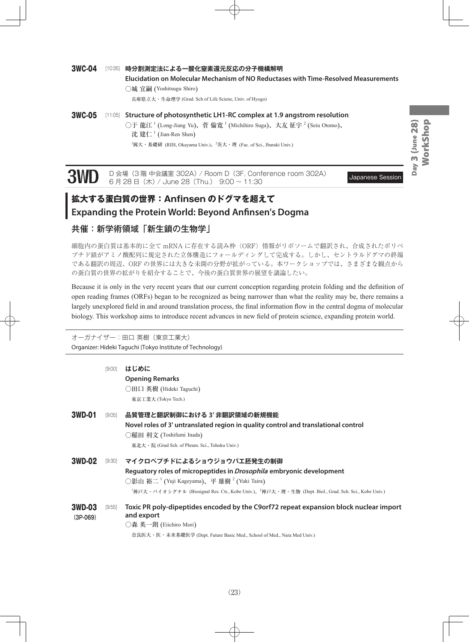### 3WC-04 [10:35] **時分割測定法による一酸化窒素還元反応の分子機構解明 Elucidation on Molecular Mechanism of NO Reductases with Time-Resolved Measurements** ○城 宜嗣 (Yoshitsugu Shiro) 兵庫県立大・生命理学 (Grad. Sch of Life Sciene, Univ. of Hyogo)

#### 3WC-05 [11:05] **Structure of photosynthetic LH1-RC complex at 1.9 angstrom resolution** ○于 龍江  $^1$  (Long-Jiang Yu)、菅 倫寛  $^1$  (Michihiro Suga)、大友 征宇  $^2$  (Seiu Otomo)、 沈 建仁<sup>1</sup> (Jian-Ren Shen)  $^{1}$ 岡大・基礎研 (RIIS, Okayama Univ.)、 $^{2}$ 茨大・理 (Fac. of Sci., Ibaraki Univ.)

3WD D 会場 (3 階 中会議室 302A) / Room D (3F, Conference room 302A) Japanese Session 6 月 28 日(木) / June 28 (Thu.) 9:00 ~ 11:30

## **拡大する蛋白質の世界:Anfinsen のドグマを超えて Expanding the Protein World: Beyond Anfinsen's Dogma**

### 共催:新学術領域「新生鎖の生物学」

細胞内の蛋白質は基本的に全て mRNA に存在する読み枠(ORF)情報がリボソームで翻訳され、合成されたポリペ プチド鎖がアミノ酸配列に規定された立体構造にフォールディングして完成する。しかし、セントラルドグマの終端 である翻訳の周辺、ORF の世界には大きな未開の分野が拡がっている。本ワークショップでは、さまざまな観点から の蛋白質の世界の拡がりを紹介することで、今後の蛋白質世界の展望を議論したい。

Because it is only in the very recent years that our current conception regarding protein folding and the definition of open reading frames (ORFs) began to be recognized as being narrower than what the reality may be, there remains a largely unexplored field in and around translation process, the final information flow in the central dogma of molecular biology. This workshop aims to introduce recent advances in new field of protein science, expanding protein world.

オーガナイザー:田口 英樹(東京工業大) Organizer: Hideki Taguchi (Tokyo Institute of Technology)

|                      | [9:00] | はじめに                                                                                                                         |
|----------------------|--------|------------------------------------------------------------------------------------------------------------------------------|
|                      |        | <b>Opening Remarks</b>                                                                                                       |
|                      |        | ◯田口 英樹 (Hideki Taguchi)                                                                                                      |
|                      |        | 東京工業大 (Tokyo Tech.)                                                                                                          |
| 3WD-01               | [9:05] | 品質管理と翻訳制御における 3' 非翻訳領域の新規機能                                                                                                  |
|                      |        | Novel roles of 3' untranslated region in quality control and translational control                                           |
|                      |        | ○稲田 利文 (Toshifumi Inada)                                                                                                     |
|                      |        | 東北大 · 院 (Grad Sch. of Phram. Sci., Tohoku Univ.)                                                                             |
| 3WD-02               | [9:30] | マイクロペプチドによるショウジョウバエ胚発生の制御                                                                                                    |
|                      |        | Reguatory roles of micropeptides in <i>Drosophila</i> embryonic development                                                  |
|                      |        | ○影山 裕二 <sup>1</sup> (Yuji Kageyama)、平 雄樹 <sup>2</sup> (Yuki Taira)                                                           |
|                      |        | <sup>1</sup> 神戸大・バイオシグナル (Biosignal Res. Ctr., Kobe Univ.)、 <sup>2</sup> 神戸大・理・生物 (Dept. Biol., Grad. Sch. Sci., Kobe Univ.) |
| 3WD-03<br>$(3P-069)$ | [9:55] | Toxic PR poly-dipeptides encoded by the C9orf72 repeat expansion block nuclear import<br>and export                          |
|                      |        | ○森 英一朗 (Eiichiro Mori)                                                                                                       |
|                      |        | 奈良医大・医・未来基礎医学 (Dept. Future Basic Med., School of Med., Nara Med Univ.)                                                      |
|                      |        |                                                                                                                              |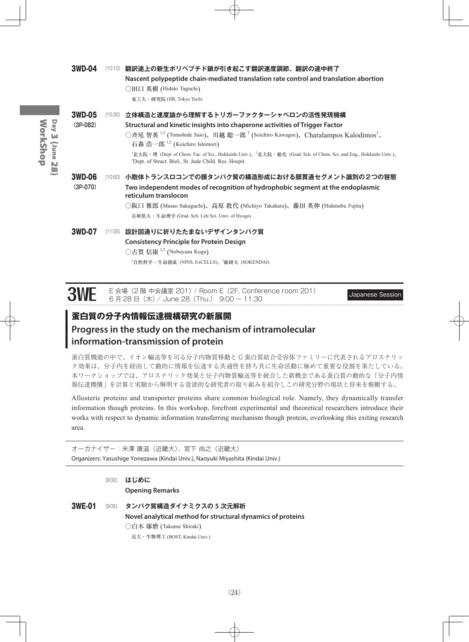### 3WD-04 [10:10] **翻訳途上の新生ポリペプチド鎖が引き起こす翻訳速度調節、翻訳の途中終了 Nascent polypeptide chain-mediated translation rate control and translation abortion** ○田口 英樹 (Hideki Taguchi) 東工大・研究院 (IIR, Tokyo Tech) 3WD-05 [10:35] **立体構造と速度論から理解するトリガーファクターシャペロンの活性発現機構 (3P-082) Structural and kinetic insights into chaperone activities of Trigger Factor** ○斉尾 智英 <sup>1,2</sup> (Tomohide Saio)、川越 聡一郎<sup>2</sup> (Soichiro Kawagoe)、Charalampos Kalodimos<sup>3</sup>、 石森 浩一郎 <sup>1</sup>,<sup>2</sup> (Koichiro Ishimori) <sup>1</sup>北大院·理 (Dept. of Chem. Fac. of Sci., Hokkaido Univ.)、<sup>2</sup>北大院·総化 (Grad. Sch. of Chem. Sci. and Eng., Hokkaido Univ.)、 3 Dept. of Struct. Biol., St. Jude Child. Res. Hospit. 3WD-06 [10:50] **小胞体トランスロコンでの膜タンパク質の構造形成における膜貫通セグメント識別の2つの容態 (3P-070) Two independent modes of recognition of hydrophobic segment at the endoplasmic reticulum translocon**  ○阪口 雅郎 (Masao Sakaguchi)、高原 教代 (Michiyo Takahara)、藤田 英伸 (Hidenobu Fujita) 兵庫県大・生命理学 (Grad. Sch. Life Sci. Univ. of Hyogo) 3WD-07 [11:05] **設計図通りに折りたたまないデザインタンパク質 Consistency Principle for Protein Design** ○古賀 信康<sup>1,2</sup> (Nobuyasu Koga) <sup>1</sup>自然科学・生命創成 (NINS, ExCELLS)、<sup>2</sup>総研大 (SOKENDAI)

| <b>3WE</b> E 会場 (2 階 中会議室 201) / Room E (2F, Conference room 201)<br>6 月 28 日 (木) / June 28 (Thu.) 9:00 ~ 11:30 | <b>Japanese Session</b> |
|-----------------------------------------------------------------------------------------------------------------|-------------------------|
|                                                                                                                 |                         |

### **蛋白質の分子内情報伝達機構研究の新展開**

### **Progress in the study on the mechanism of intramolecular information-transmission of protein**

蛋白質機能の中で、イオン輸送等を司る分子内物質移動と G 蛋白質結合受容体ファミリーに代表されるアロステリッ ク効果は、分子内を経由して動的に情報を伝達する共通性を持ち共に生命活動に極めて重要な役割を果たしている。 本ワークショップでは、アロステリック効果と分子内物質輸送等を統合した新概念である蛋白質の動的な「分子内情 報伝達機構」を計算と実験から解明する意欲的な研究者の取り組みを紹介しこの研究分野の現状と将来を俯瞰する。

Allosteric proteins and transporter proteins share common biological role. Namely, they dynamically transfer information though proteins. In this workshop, forefront experimental and theoretical researchers introduce their works with respect to dynamic information transferring mechanism though protein, overlooking this exiting research area.

オーガナイザー:米澤 康滋(近畿大)、宮下 尚之(近畿大) Organizers: Yasushige Yonezawa (Kindai Univ.), Naoyuki Miyashita (Kindai Univ.)

[9:00] **はじめに Opening Remarks**  3WE-01 [9:05] **タンパク質構造ダイナミクスの 5 次元解析 Novel analytical method for structural dynamics of proteins** ○白木 琢磨 (Takuma Shiraki) 近大・生物理工 (BOST, Kindai Univ.)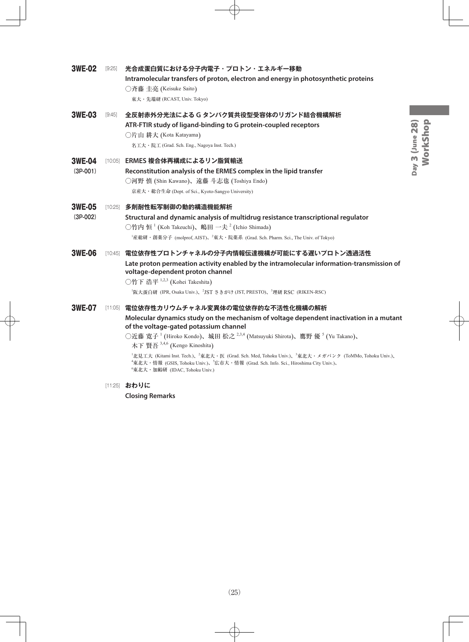| <b>3WE-02</b>               | $[9:25]$ | 光合成蛋白質における分子内電子・プロトン・エネルギー移動<br>Intramolecular transfers of proton, electron and energy in photosynthetic proteins<br>○斉藤 圭亮 (Keisuke Saito)<br>東大・先端研 (RCAST, Univ. Tokyo)                                                                                                                                                                                                                                                                                                                                                                                                                                                             |
|-----------------------------|----------|-----------------------------------------------------------------------------------------------------------------------------------------------------------------------------------------------------------------------------------------------------------------------------------------------------------------------------------------------------------------------------------------------------------------------------------------------------------------------------------------------------------------------------------------------------------------------------------------------------------------------------------------|
| <b>3WE-03</b>               | [9:45]   | 全反射赤外分光法による G タンパク質共役型受容体のリガンド結合機構解析<br>ATR-FTIR study of ligand-binding to G protein-coupled receptors<br>○片山 耕大 (Kota Katayama)<br>名工大 · 院工 (Grad. Sch. Eng., Nagoya Inst. Tech.)                                                                                                                                                                                                                                                                                                                                                                                                                                                     |
| <b>3WE-04</b><br>$(3P-001)$ |          | [10:05] ERMES 複合体再構成によるリン脂質輸送<br>Reconstitution analysis of the ERMES complex in the lipid transfer<br>○河野 慎 (Shin Kawano)、遠藤 斗志也 (Toshiya Endo)<br>京産大·総合生命 (Dept. of Sci., Kyoto-Sangyo University)                                                                                                                                                                                                                                                                                                                                                                                                                                   |
| <b>3WE-05</b><br>$(3P-002)$ |          | [10:25] 多剤耐性転写制御の動的構造機能解析<br>Structural and dynamic analysis of multidrug resistance transcriptional regulator<br>○竹内 恒 <sup>1</sup> (Koh Takeuchi)、嶋田 一夫 <sup>2</sup> (Ichio Shimada)<br><sup>1</sup> 産総研・創薬分子 (molprof, AIST)、 <sup>2</sup> 東大・院薬系 (Grad. Sch. Pharm. Sci., The Univ. of Tokyo)                                                                                                                                                                                                                                                                                                                                       |
| <b>3WE-06</b>               |          | [10:45] 電位依存性プロトンチャネルの分子内情報伝達機構が可能にする遅いプロトン透過活性<br>Late proton permeation activity enabled by the intramolecular information-transmission of<br>voltage-dependent proton channel<br>○竹下 浩平 <sup>1,2,3</sup> (Kohei Takeshita)<br><sup>1</sup> 阪大蛋白研 (IPR, Osaka Univ.)、 <sup>2</sup> JST さきがけ (JST, PRESTO)、 <sup>3</sup> 理研 RSC (RIKEN-RSC)                                                                                                                                                                                                                                                                                            |
| <b>3WE-07</b>               |          | [11:05] 電位依存性カリウムチャネル変異体の電位依存的な不活性化機構の解析<br>Molecular dynamics study on the mechanism of voltage dependent inactivation in a mutant<br>of the voltage-gated potassium channel<br>○近藤 寛子 <sup>1</sup> (Hiroko Kondo)、城田 松之 <sup>2,3,4</sup> (Matsuyuki Shirota)、鷹野 優 <sup>5</sup> (Yu Takano)、<br>木下 賢吾 3,4,6 (Kengo Kinoshita)<br><sup>1</sup> 北見工大 (Kitami Inst. Tech.)、 <sup>2</sup> 東北大・医 (Grad. Sch. Med, Tohoku Univ.)、 <sup>3</sup> 東北大・メガバンク (ToMMo, Tohoku Univ.)、<br><sup>4</sup> 東北大・情報 (GSIS, Tohoku Univ.)、 <sup>5</sup> 広市大・情報 (Grad. Sch. Info. Sci., Hiroshima City Univ.)、<br><sup>6</sup> 東北大・加齢研 (IDAC, Tohoku Univ.) |
|                             |          | [11:25] おわりに<br><b>Closing Remarks</b>                                                                                                                                                                                                                                                                                                                                                                                                                                                                                                                                                                                                  |
|                             |          |                                                                                                                                                                                                                                                                                                                                                                                                                                                                                                                                                                                                                                         |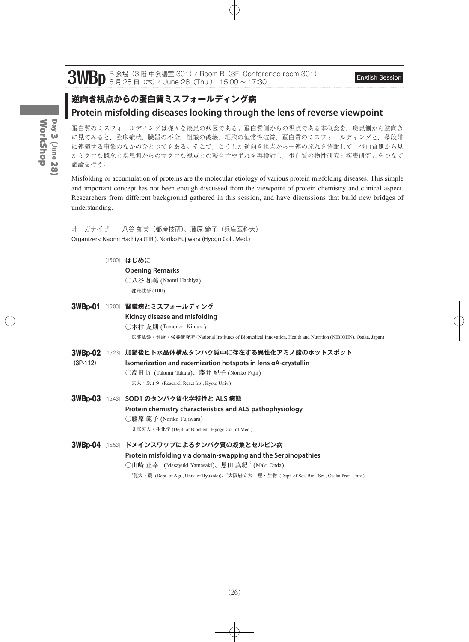# 3WBp  $B \triangleq \frac{1}{3}$  (3 階 中会議室 301) / Room B (3F, Conference room 301) English Session English Session

### **逆向き視点からの蛋白質ミスフォールディング病 Protein misfolding diseases looking through the lens of reverse viewpoint**

蛋白質のミスフォールディングは様々な疾患の病因である。蛋白質側からの視点である本概念を、疾患側から逆向き に見てみると,臨床症状,臓器の不全,組織の破壊,細胞の恒常性破綻,蛋白質のミスフォールディングと,多段階 に連鎖する事象のなかのひとつでもある。そこで、こうした逆向き視点から一連の流れを俯瞰して、蛋白質側から見 たミクロな概念と疾患側からのマクロな視点との整合性やずれを再検討し,蛋白質の物性研究と疾患研究とをつなぐ 議論を行う。

Misfolding or accumulation of proteins are the molecular etiology of various protein misfolding diseases. This simple and important concept has not been enough discussed from the viewpoint of protein chemistry and clinical aspect. Researchers from different background gathered in this session, and have discussions that build new bridges of understanding.

オーガナイザー:八谷 如美(都産技研)、藤原 範子(兵庫医科大) Organizers: Naomi Hachiya (TIRI), Noriko Fujiwara (Hyogo Coll. Med.)

[15:00] **はじめに**

**Opening Remarks** ○八谷 如美 (Naomi Hachiya) 都産技研 (TIRI)

|                | 3WBp-01 [15:03] 腎臓病とミスフォールディング                                                                             |
|----------------|------------------------------------------------------------------------------------------------------------|
|                | Kidney disease and misfolding                                                                              |
|                | ○木村 友則 (Tomonori Kimura)                                                                                   |
|                | 医薬基盤・健康・栄養研究所 (National Institutes of Biomedical Innovation, Health and Nutrition (NIBIOHN), Osaka, Japan) |
| <b>3WBp-02</b> | [15:23] 加齢後ヒト水晶体構成タンパク質中に存在する異性化アミノ酸のホットスポット                                                               |
| $(3P-112)$     | Isomerization and racemization hotspots in lens aA-crystallin                                              |
|                | ○高田 匠 (Takumi Takata)、藤井 紀子 (Noriko Fujii)                                                                 |
|                | 京大·原子炉 (Research React Ins., Kyoto Univ.)                                                                  |
|                | 3WBp-03 [15:43] SOD1 のタンパク質化学特性と ALS 病態                                                                    |
|                | Protein chemistry characteristics and ALS pathophysiology                                                  |
|                | ◯藤原 範子 (Noriko Fujiwara)                                                                                   |
|                | 兵庫医大・生化学 (Dept. of Biochem. Hyogo Col. of Med.)                                                            |
|                | ?WRn.04 [1553] ドマインフロップに上スタンパカ質の爆隹とわルピン症                                                                   |

3WBp-04 [15:53] **ドメインスワップによるタンパク質の凝集とセルピン病 Protein misfolding via domain-swapping and the Serpinopathies** ○山崎 正幸  $^1$  (Masayuki Yamasaki)、恩田 真紀  $^2$  (Maki Onda) <sup>1</sup>龍大・農 (Dept. of Agr., Univ. of Ryukoku)、<sup>2</sup>大阪府立大・理・生物 (Dept. of Sci, Biol. Sci., Osaka Pref. Univ.)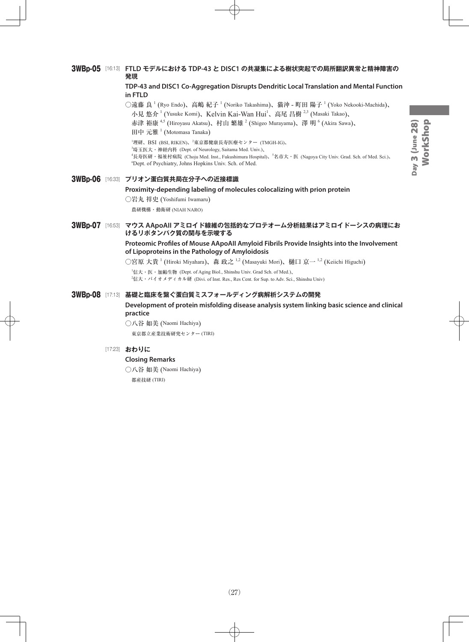#### 3WBp-05 [16:13] **FTLD モデルにおける TDP-43 と DISC1 の共凝集による樹状突起での局所翻訳異常と精神障害の 発現**

#### **TDP-43 and DISC1 Co-Aggregation Disrupts Dendritic Local Translation and Mental Function in FTLD**

○遠藤 良  $^1$  (Ryo Endo)、高嶋 紀子  $^1$  (Noriko Takashima)、猫沖 - 町田 陽子  $^1$  (Yoko Nekooki-Machida)、 小見 悠介<sup>1</sup> (Yusuke Komi)、Kelvin Kai-Wan Hui<sup>1</sup>、高尾 昌樹<sup>2,3</sup> (Masaki Takao)、

赤津 裕康<sup>4,5</sup> (Hiroyasu Akatsu)、村山 繁雄  $^2$  (Shigeo Murayama)、澤 明  $^6$  (Akira Sawa)、

田中 元雅<sup>1</sup> (Motomasa Tanaka)

<sup>1</sup>理研、BSI (BSI, RIKEN)、<sup>2</sup>東京都健康長寿医療センター (TMGH-IG)、

3 埼玉医大・神経内科 (Dept. of Neurology, Saitama Med. Univ.)、

<sup>4</sup>長寿医研・福祉村病院 (Choju Med. Inst., Fukushimura Hospital)、<sup>5</sup>名市大・医 (Nagoya City Univ. Grad. Sch. of Med. Sci.)、 6 Dept. of Psychiatry, Johns Hopkins Univ. Sch. of Med.

|  | 3WBp-06 [16:33] プリオン蛋白質共局在分子への近接標識                                        |
|--|---------------------------------------------------------------------------|
|  | Proximity-depending labeling of molecules colocalizing with prion protein |
|  | ○岩丸 祥史 (Yoshifumi Iwamaru)                                                |

農研機構・動衛研 (NIAH NARO)

#### 3WBp-07 [16:53] **マウス AApoAII アミロイド線維の包括的なプロテオーム分析結果はアミロイドーシスの病理にお けるリポタンパク質の関与を示唆する**

#### **Proteomic Profiles of Mouse AApoAII Amyloid Fibrils Provide Insights into the Involvement of Lipoproteins in the Pathology of Amyloidosis**

○宮原 大貴 <sup>1</sup> (Hiroki Miyahara)、森 政之 <sup>1,2</sup> (Masayuki Mori)、樋口 京一 <sup>1,2</sup> (Keiichi Higuchi)

1 信大・医・加齢生物 (Dept. of Aging Biol., Shinshu Univ. Grad Sch. of Med.)、  $^{2}$ 信大・バイオメディカル研 (Divi. of Inst. Res., Res Cent. for Sup. to Adv. Sci., Shinshu Univ)

3WBp-08 [17:13] **基礎と臨床を繋ぐ蛋白質ミスフォールディング病解析システムの開発**

**Development of protein misfolding disease analysis system linking basic science and clinical practice**

○八谷 如美 (Naomi Hachiya) 東京都立産業技術研究センター (TIRI)

#### [17:23] **おわりに**

#### **Closing Remarks**

○八谷 如美 (Naomi Hachiya) 都産技研 (TIRI)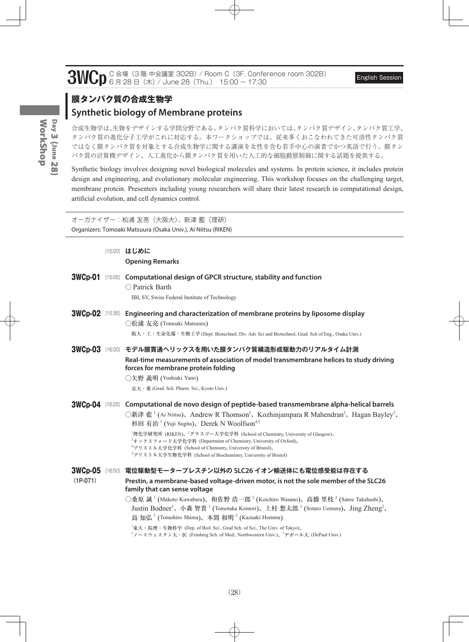3WCp C 会場 (3 階 中会議室 302B) / Room C (3F, Conference room 302B) English Session English Session

## **膜タンパク質の合成生物学 Synthetic biology of Membrane proteins**

合成生物学は、生物をデザインする学問分野である。タンパク質科学においては、タンパク質デザイン、タンパク質工学、 タンパク質の進化分子工学がこれに対応する。本ワークショップでは、従来多くおこなわれてきた可溶性タンパク質 ではなく膜タンパク質を対象とする合成生物学に関する講演を女性を含む若手中心の演者でかつ英語で行う。膜タン パク質の計算機デザイン、人工進化から膜タンパク質を用いた人工的な細胞動態制御に関する話題を提供する。

Synthetic biology involves designing novel biological molecules and systems. In protein science, it includes protein design and engineering, and evolutionary molecular engineering. This workshop focuses on the challenging target, membrane protein. Presenters including young researchers will share their latest research in computational design, artificial evolution, and cell dynamics control.

オーガナイザー:松浦 友亮(大阪大)、新津 藍(理研) Organizers: Tomoaki Matsuura (Osaka Univ.), Ai Niitsu (RIKEN)

|            | [15:00] はじめに<br><b>Opening Remarks</b>                                                                                                                                                                                                                                                                                                                                                                                                                                                                                                                                                                                                                                                                               |
|------------|----------------------------------------------------------------------------------------------------------------------------------------------------------------------------------------------------------------------------------------------------------------------------------------------------------------------------------------------------------------------------------------------------------------------------------------------------------------------------------------------------------------------------------------------------------------------------------------------------------------------------------------------------------------------------------------------------------------------|
|            | 3WCp-01 [15:05] Computational design of GPCR structure, stability and function<br>○ Patrick Barth<br>IBI, SV, Swiss Federal Institute of Technology                                                                                                                                                                                                                                                                                                                                                                                                                                                                                                                                                                  |
|            | $3WCp-02$ [15:35] Engineering and characterization of membrane proteins by liposome display<br>○松浦 友亮 (Tomoaki Matsuura)<br>阪大・工・生命先端・生物工学 (Dept. Biotechnol, Div. Adv Sci and Biotechnol, Grad. Sch of Eng., Osaka Univ.)                                                                                                                                                                                                                                                                                                                                                                                                                                                                                           |
|            | 3WCp-03 [16:00] モデル膜貫通ヘリックスを用いた膜タンパク質構造形成駆動力のリアルタイム計測<br>Real-time measurements of association of model transmembrane helices to study driving<br>forces for membrane protein folding<br>○矢野 義明 (Yoshiaki Yano)<br>京大·薬(Grad. Sch. Pharm. Sci., Kyoto Univ.)                                                                                                                                                                                                                                                                                                                                                                                                                                                         |
|            | $3WCp-04$ [16:25] Computational de novo design of peptide-based transmembrane alpha-helical barrels<br>○新津 藍 <sup>1</sup> (Ai Niitsu)、Andrew R Thomson <sup>2</sup> 、Kozhinjampara R Mahendran <sup>3</sup> 、Hagan Bayley <sup>3</sup> 、<br>杉田 有治 <sup>1</sup> (Yuji Sugita)、Derek N Woolfson <sup>4,5</sup><br><sup>1</sup> 理化学研究所 (RIKEN)、 <sup>2</sup> グラスゴー大学化学科 (School of Chemistry, University of Glasgow)、<br><sup>3</sup> オックスフォード大学化学科 (Department of Chemistry, University of Oxford),<br><sup>4</sup> ブリストル大学化学科 (School of Chemistry, University of Bristol)、<br><sup>5</sup> ブリストル大学生物化学科 (School of Biochemistry, University of Bristol)                                                              |
| $(1P-071)$ | 3WCp-05 [16:50] 電位駆動型モータープレスチン以外の SLC26 イオン輸送体にも電位感受能は存在する<br>Prestin, a membrane-based voltage-driven motor, is not the sole member of the SLC26<br>family that can sense voltage<br>○桑原 誠 <sup>1</sup> (Makoto Kuwabara)、和佐野 浩一郎 <sup>2</sup> (Koichiro Wasano)、高橋 里枝 <sup>2</sup> (Satoe Takahashi)、<br>Justin Bodner <sup>3</sup> 、小森智貴 <sup>1</sup> (Tomotaka Komori)、上村 想太郎 <sup>1</sup> (Sotaro Uemura)、Jing Zheng <sup>2</sup> 、<br>島 知弘 <sup>1</sup> (Tomohiro Shima)、本間 和明 <sup>2</sup> (Kazuaki Homma)<br><sup>1</sup> 東大・院理・生物科学 (Dep. of Biol. Sci., Grad Sch. of Sci., The Univ. of Tokyo)、<br><sup>2</sup> ノースウェスタン大・医 (Feinberg Sch. of Med., Northwestern Univ.)、 <sup>3</sup> デポール大 (DePaul Univ.) |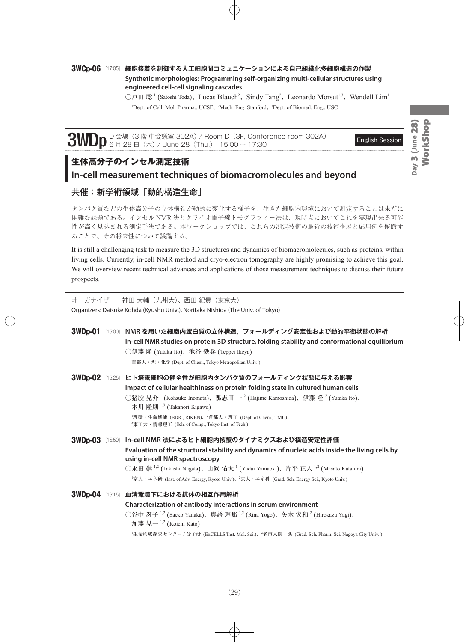#### 3WCp-06 [17:05] **細胞接着を制御する人工細胞間コミュニケーションによる自己組織化多細胞構造の作製 Synthetic morphologies: Programming self-organizing multi-cellular structures using engineered cell-cell signaling cascades**

○戸田 聡<sup>1</sup> (Satoshi Toda)、Lucas Blauch<sup>2</sup>、Sindy Tang<sup>2</sup>、Leonardo Morsut<sup>1,3</sup>、Wendell Lim<sup>1</sup> <sup>1</sup>Dept. of Cell. Mol. Pharma., UCSF, <sup>2</sup>Mech. Eng. Stanford, <sup>3</sup>Dept. of Biomed. Eng., USC

3WDp D 会場 (3 階 中会議室 302A) / Room D (3F, Conference room 302A) English Session English Session

### **生体高分子のインセル測定技術**

### **In-cell measurement techniques of biomacromolecules and beyond**

### 共催:新学術領域「動的構造生命」

タンパク質などの生体高分子の立体構造が動的に変化する様子を、生きた細胞内環境において測定することは未だに 困難な課題である。インセル NMR 法とクライオ電子線トモグラフィー法は、現時点においてこれを実現出来る可能 性が高く見込まれる測定手法である。本ワークショップでは、これらの測定技術の最近の技術進展と応用例を俯瞰す ることで、その将来性について議論する。

It is still a challenging task to measure the 3D structures and dynamics of biomacromolecules, such as proteins, within living cells. Currently, in-cell NMR method and cryo-electron tomography are highly promising to achieve this goal. We will overview recent technical advances and applications of those measurement techniques to discuss their future prospects.

オーガナイザー:神田 大輔(九州大)、西田 紀貴(東京大) Organizers: Daisuke Kohda (Kyushu Univ.), Noritaka Nishida (The Univ. of Tokyo)

|  | 3WDp-01 [15:00] NMR を用いた細胞内蛋白質の立体構造,フォールディング安定性および動的平衡状態の解析<br>In-cell NMR studies on protein 3D structure, folding stability and conformational equilibrium<br>○伊藤 隆 (Yutaka Ito)、池谷 鉄兵 (Teppei Ikeya)<br>首都大·理·化学 (Dept. of Chem., Tokyo Metropolitan Univ.)                                                                                                                                                                                    |
|--|---------------------------------------------------------------------------------------------------------------------------------------------------------------------------------------------------------------------------------------------------------------------------------------------------------------------------------------------------------------------------------------------------------------------------------------------------|
|  | 3WDp-02 [15:25] ヒト培養細胞の健全性が細胞内タンパク質のフォールディング状態に与える影響<br>Impact of cellular healthiness on protein folding state in cultured human cells<br>○猪股 晃介 <sup>1</sup> (Kohsuke Inomata)、鴨志田 → <sup>2</sup> (Hajime Kamoshida)、伊藤 隆 <sup>2</sup> (Yutaka Ito)、<br>木川 隆則 <sup>1,3</sup> (Takanori Kigawa)<br><sup>1</sup> 理研・生命機能 (BDR., RIKEN)、 <sup>2</sup> 首都大・理工 (Dept. of Chem., TMU)、<br><sup>3</sup> 東工大・情報理工 (Sch. of Comp., Tokyo Inst. of Tech.) |
|  | 3WDp-03 [15:50] In-cell NMR 法によるヒト細胞内核酸のダイナミクスおよび構造安定性評価<br>Evaluation of the structural stability and dynamics of nucleic acids inside the living cells by<br>using in-cell NMR spectroscopy<br>○永田 崇 <sup>1,2</sup> (Takashi Nagata)、山置 佑大 <sup>1</sup> (Yudai Yamaoki)、片平 正人 <sup>1,2</sup> (Masato Katahira)<br><sup>1</sup> 京大・エネ研 (Inst. of Adv. Energy, Kyoto Univ.)、 <sup>2</sup> 京大・エネ科 (Grad. Sch. Energy Sci., Kyoto Univ.)            |
|  | 3WDp-04 [16:15] 血清環境下における抗体の相互作用解析<br>Characterization of antibody interactions in serum environment<br>○谷中 冴子 <sup>1,2</sup> (Saeko Yanaka)、與語 理那 <sup>1,2</sup> (Rina Yogo)、矢木 宏和 <sup>2</sup> (Hirokazu Yagi)、<br>加藤 晃一 $1,2$ (Koichi Kato)<br><sup>1</sup> 生命創成探求センター / 分子研 (ExCELLS/Inst. Mol. Sci.)、 <sup>2</sup> 名市大院・薬 (Grad. Sch. Pharm. Sci. Nagoya City Univ.)                                                                         |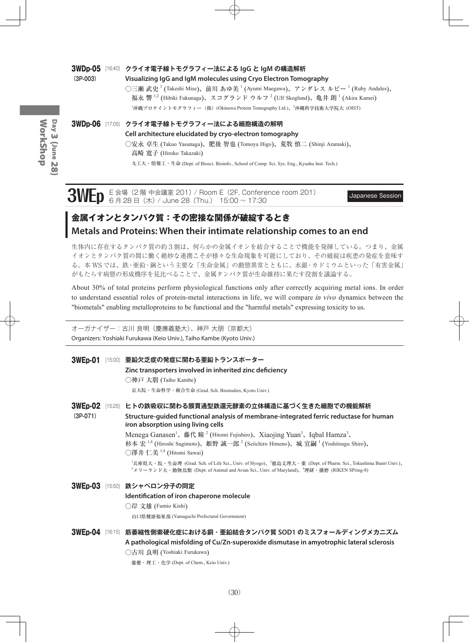#### 3WDp-05 [16:40] **クライオ電子線トモグラフィー法による IgG と IgM の構造解析**

**(3P-003) Visualizing IgG and IgM molecules using Cryo Electron Tomography**  $\bigcirc$ 三瀬 武史  $^1$  (Takeshi Mise)、前川 あゆ美  $^1$  (Ayumi Maegawa)、アンダレス ルビー  $^1$  (Ruby Andales)、 福永 響  $^{1,2}$  (Hibiki Fukunaga)、スコグランド ウルフ  $^{2}$  (Ulf Skoglund)、亀井 朗  $^{1}$  (Akira Kamei) <sup>-</sup>沖縄プロテイントモグラフィー(株)(Okinawa Protein Tomography Ltd.)、<sup>2</sup>沖縄科学技術大学院大 (OIST)

3WDp-06 [17:05] **クライオ電子線トモグラフィー法による細胞構造の解明**

**Cell architecture elucidated by cryo-electron tomography**

○安永 卓生 (Takuo Yasunaga)、肥後 智也 (Tomoya Higo)、荒牧 慎二 (Shinji Aramaki)、 高崎 寛子 (Hiroko Takazaki)

九工大・情報工・生命 (Dept. of Biosci. Bioinfo., School of Comp. Sci. Sys. Eng., Kyushu Inst. Tech.)

# **3WEp** E 会場 (2 階 中会議室 201) / Room E (2F, Conference room 201) Japanese Session 6 月 28 日(木) / June 28 (Thu.) 15:00 ~ 17:30

## **金属イオンとタンパク質:その密接な関係が破綻するとき Metals and Proteins: When their intimate relationship comes to an end**

生体内に存在するタンパク質の約3割は、何らかの金属イオンを結合することで機能を発揮している。つまり、金属 イオンとタンパク質の間に働く絶妙な連携こそが様々な生命現象を可能にしており、その破綻は疾患の発症を意味す る。本 WS では、鉄・亜鉛・銅という主要な「生命金属」の動態異常とともに、水銀・カドミウムといった「有害金属」 がもたらす病態の形成機序を見比べることで、金属タンパク質が生命維持に果たす役割を議論する。

About 30% of total proteins perform physiological functions only after correctly acquiring metal ions. In order to understand essential roles of protein-metal interactions in life, we will compare in vivo dynamics between the "biometals" enabling metalloproteins to be functional and the "harmful metals" expressing toxicity to us.

オーガナイザー:古川 良明(慶應義塾大)、神戸 大朋(京都大) Organizers: Yoshiaki Furukawa (Keio Univ.), Taiho Kambe (Kyoto Univ.)

3WEp-01 [15:00] **亜鉛欠乏症の発症に関わる亜鉛トランスポーター Zinc transporters involved in inherited zinc deficiency** ○神戸 大朋 (Taiho Kambe) 京大院・生命科学・統合生命 (Grad. Sch. Biostudies, Kyoto Univ.) 3WEp-02 [15:25] **ヒトの鉄吸収に関わる膜貫通型鉄還元酵素の立体構造に基づく生きた細胞での機能解析 (3P-071) Structure-guided functional analysis of membrane-integrated ferric reductase for human iron absorption using living cells** Menega Ganasen<sup>1</sup>、藤代 瞳<sup>2</sup> (Hitomi Fujishiro)、Xiaojing Yuan<sup>3</sup>、Iqbal Hamza<sup>3</sup>、 杉本 宏  $^{1,4}$  (Hiroshi Sugimoto)、姫野 誠一郎  $^2$  (Seiichiro Himeno)、城 宜嗣  $^1$  (Yoshitsugu Shiro)、 ○澤井 仁美 <sup>1</sup>,<sup>4</sup> (Hitomi Sawai) <sup>1</sup>兵庫県大・院・生命理 (Grad. Sch. of Life Sci., Univ. of Hyogo)、<sup>2</sup>徳島文理大・薬 (Dept. of Pharm. Sci., Tokushima Bunri Univ.)、 <sup>3</sup>メリーランド大・動物鳥類 (Dept. of Animal and Avian Sci., Univ. of Maryland)、<sup>4</sup>理研・播磨 (RIKEN SPring-8) 3WEp-03 [15:50] **鉄シャペロン分子の同定 Identification of iron chaperone molecule** ○岸 文雄 (Fumio Kishi)

山口県健康福祉部 (Yamaguchi Prefectural Government)

3WEp-04 [16:15] **筋萎縮性側索硬化症における銅・亜鉛結合タンパク質 SOD1 のミスフォールディングメカニズム A pathological misfolding of Cu/Zn-superoxide dismutase in amyotrophic lateral sclerosis** ○古川 良明 (Yoshiaki Furukawa)

慶應・理工・化学 (Dept. of Chem., Keio Univ.)